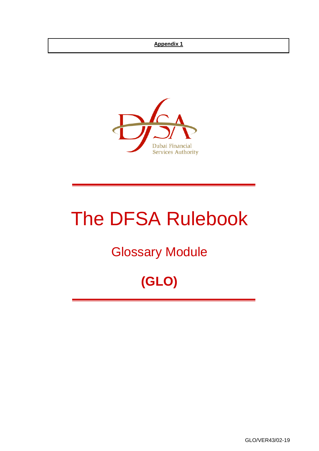#### **Appendix 1**



# The DFSA Rulebook

# Glossary Module

# **(GLO)**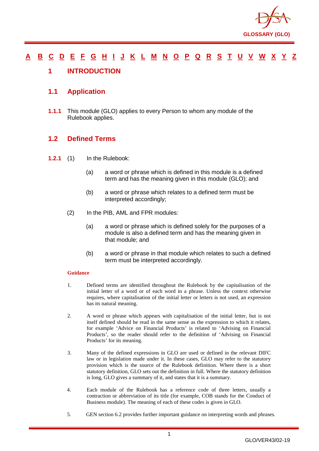

### <u>[A](#page-2-0) [B](#page-7-0) [C](#page-9-0) [D](#page-18-0) [E](#page-22-0) [F](#page-23-0) [G](#page-26-0) [H](#page-30-0) [I](#page-31-0) [J](#page-35-0) [K](#page-36-0) [L](#page-37-0) [M](#page-40-0) [N](#page-43-0) [O](#page-45-0) [P](#page-47-0) [Q](#page-53-0) [R](#page-54-0) [S](#page-59-0) [T](#page-63-0) [U](#page-65-0) [V](#page-66-0) [W](#page-67-0) [X](#page-68-0) [Y](#page-69-0) [Z](#page-70-0)</u>

#### <span id="page-1-0"></span>**1 INTRODUCTION**

#### **1.1 Application**

**1.1.1** This module (GLO) applies to every Person to whom any module of the Rulebook applies.

#### **1.2 Defined Terms**

- **1.2.1** (1) In the Rulebook:
	- (a) a word or phrase which is defined in this module is a defined term and has the meaning given in this module (GLO); and
	- (b) a word or phrase which relates to a defined term must be interpreted accordingly;
	- (2) In the PIB, AML and FPR modules:
		- (a) a word or phrase which is defined solely for the purposes of a module is also a defined term and has the meaning given in that module; and
		- (b) a word or phrase in that module which relates to such a defined term must be interpreted accordingly.

#### **Guidance**

- 1. Defined terms are identified throughout the Rulebook by the capitalisation of the initial letter of a word or of each word in a phrase. Unless the context otherwise requires, where capitalisation of the initial letter or letters is not used, an expression has its natural meaning.
- 2. A word or phrase which appears with capitalisation of the initial letter, but is not itself defined should be read in the same sense as the expression to which it relates, for example 'Advice on Financial Products' is related to 'Advising on Financial Products', so the reader should refer to the definition of 'Advising on Financial Products' for its meaning.
- 3. Many of the defined expressions in GLO are used or defined in the relevant DIFC law or in legislation made under it. In these cases, GLO may refer to the statutory provision which is the source of the Rulebook definition. Where there is a short statutory definition, GLO sets out the definition in full. Where the statutory definition is long, GLO gives a summary of it, and states that it is a summary.
- 4. Each module of the Rulebook has a reference code of three letters, usually a contraction or abbreviation of its title (for example, COB stands for the Conduct of Business module). The meaning of each of these codes is given in GLO.
- 5. GEN section 6.2 provides further important guidance on interpreting words and phrases.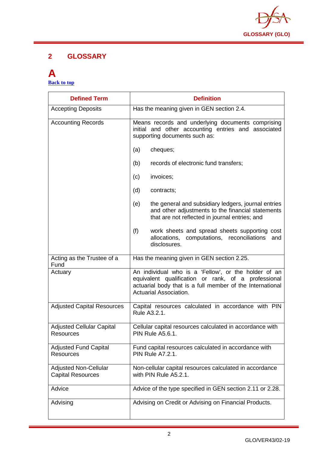

# **2 GLOSSARY**

### <span id="page-2-0"></span>**A [Back to top](#page-1-0)**

| <b>Defined Term</b>                                      | <b>Definition</b>                                                                                                                                                                                         |
|----------------------------------------------------------|-----------------------------------------------------------------------------------------------------------------------------------------------------------------------------------------------------------|
| <b>Accepting Deposits</b>                                | Has the meaning given in GEN section 2.4.                                                                                                                                                                 |
| <b>Accounting Records</b>                                | Means records and underlying documents comprising<br>initial and other accounting entries and associated<br>supporting documents such as:                                                                 |
|                                                          | cheques;<br>(a)                                                                                                                                                                                           |
|                                                          | records of electronic fund transfers;<br>(b)                                                                                                                                                              |
|                                                          | invoices;<br>(c)                                                                                                                                                                                          |
|                                                          | (d)<br>contracts;                                                                                                                                                                                         |
|                                                          | the general and subsidiary ledgers, journal entries<br>(e)<br>and other adjustments to the financial statements<br>that are not reflected in journal entries; and                                         |
|                                                          | (f)<br>work sheets and spread sheets supporting cost<br>allocations,<br>computations, reconciliations<br>and<br>disclosures.                                                                              |
| Acting as the Trustee of a<br>Fund                       | Has the meaning given in GEN section 2.25.                                                                                                                                                                |
| Actuary                                                  | An individual who is a 'Fellow', or the holder of an<br>equivalent qualification or rank, of a professional<br>actuarial body that is a full member of the International<br><b>Actuarial Association.</b> |
| <b>Adjusted Capital Resources</b>                        | Capital resources calculated in accordance with PIN<br>Rule A3.2.1.                                                                                                                                       |
| <b>Adjusted Cellular Capital</b><br><b>Resources</b>     | Cellular capital resources calculated in accordance with<br><b>PIN Rule A5.6.1.</b>                                                                                                                       |
| <b>Adjusted Fund Capital</b><br>Resources                | Fund capital resources calculated in accordance with<br><b>PIN Rule A7.2.1.</b>                                                                                                                           |
| <b>Adjusted Non-Cellular</b><br><b>Capital Resources</b> | Non-cellular capital resources calculated in accordance<br>with PIN Rule A5.2.1.                                                                                                                          |
| Advice                                                   | Advice of the type specified in GEN section 2.11 or 2.28.                                                                                                                                                 |
| Advising                                                 | Advising on Credit or Advising on Financial Products.                                                                                                                                                     |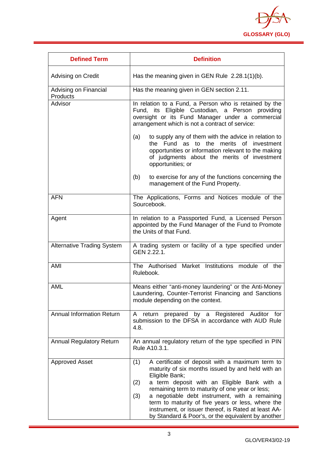

| <b>Defined Term</b>                      | <b>Definition</b>                                                                                                                                                                                                                                                                                                                                                                                                                                                  |
|------------------------------------------|--------------------------------------------------------------------------------------------------------------------------------------------------------------------------------------------------------------------------------------------------------------------------------------------------------------------------------------------------------------------------------------------------------------------------------------------------------------------|
| Advising on Credit                       | Has the meaning given in GEN Rule 2.28.1(1)(b).                                                                                                                                                                                                                                                                                                                                                                                                                    |
| Advising on Financial<br><b>Products</b> | Has the meaning given in GEN section 2.11.                                                                                                                                                                                                                                                                                                                                                                                                                         |
| Advisor                                  | In relation to a Fund, a Person who is retained by the<br>Fund, its Eligible Custodian, a Person providing<br>oversight or its Fund Manager under a commercial<br>arrangement which is not a contract of service:                                                                                                                                                                                                                                                  |
|                                          | to supply any of them with the advice in relation to<br>(a)<br>the Fund as to the merits of investment<br>opportunities or information relevant to the making<br>of judgments about the merits of investment<br>opportunities; or                                                                                                                                                                                                                                  |
|                                          | to exercise for any of the functions concerning the<br>(b)<br>management of the Fund Property.                                                                                                                                                                                                                                                                                                                                                                     |
| <b>AFN</b>                               | The Applications, Forms and Notices module of the<br>Sourcebook.                                                                                                                                                                                                                                                                                                                                                                                                   |
| Agent                                    | In relation to a Passported Fund, a Licensed Person<br>appointed by the Fund Manager of the Fund to Promote<br>the Units of that Fund.                                                                                                                                                                                                                                                                                                                             |
| <b>Alternative Trading System</b>        | A trading system or facility of a type specified under<br>GEN 2.22.1.                                                                                                                                                                                                                                                                                                                                                                                              |
| AMI                                      | The Authorised Market Institutions module of the<br>Rulebook.                                                                                                                                                                                                                                                                                                                                                                                                      |
| <b>AML</b>                               | Means either "anti-money laundering" or the Anti-Money<br>Laundering, Counter-Terrorist Financing and Sanctions<br>module depending on the context.                                                                                                                                                                                                                                                                                                                |
| <b>Annual Information Return</b>         | Registered Auditor for<br>prepared by a<br>A<br>return<br>submission to the DFSA in accordance with AUD Rule<br>4.8.                                                                                                                                                                                                                                                                                                                                               |
| <b>Annual Regulatory Return</b>          | An annual regulatory return of the type specified in PIN<br>Rule A10.3.1.                                                                                                                                                                                                                                                                                                                                                                                          |
| <b>Approved Asset</b>                    | A certificate of deposit with a maximum term to<br>(1)<br>maturity of six months issued by and held with an<br>Eligible Bank;<br>a term deposit with an Eligible Bank with a<br>(2)<br>remaining term to maturity of one year or less;<br>(3)<br>a negotiable debt instrument, with a remaining<br>term to maturity of five years or less, where the<br>instrument, or issuer thereof, is Rated at least AA-<br>by Standard & Poor's, or the equivalent by another |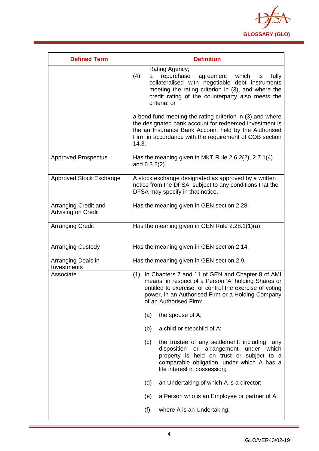

| <b>Defined Term</b>                        | <b>Definition</b>                                                                                                                                                                                                                                          |
|--------------------------------------------|------------------------------------------------------------------------------------------------------------------------------------------------------------------------------------------------------------------------------------------------------------|
|                                            | Rating Agency;<br>(4)<br>repurchase<br>which<br>fully<br>agreement<br>is<br>a<br>collateralised with negotiable debt instruments<br>meeting the rating criterion in (3), and where the<br>credit rating of the counterparty also meets the<br>criteria; or |
|                                            | a bond fund meeting the rating criterion in (3) and where<br>the designated bank account for redeemed investment is<br>the an Insurance Bank Account held by the Authorised<br>Firm in accordance with the requirement of COB section<br>14.3.             |
| <b>Approved Prospectus</b>                 | Has the meaning given in MKT Rule 2.6.2(2), 2.7.1(4)<br>and 6.3.2(2).                                                                                                                                                                                      |
| Approved Stock Exchange                    | A stock exchange designated as approved by a written<br>notice from the DFSA, subject to any conditions that the<br>DFSA may specify in that notice.                                                                                                       |
| Arranging Credit and<br>Advising on Credit | Has the meaning given in GEN section 2.28.                                                                                                                                                                                                                 |
| <b>Arranging Credit</b>                    | Has the meaning given in GEN Rule 2.28.1(1)(a).                                                                                                                                                                                                            |
| <b>Arranging Custody</b>                   | Has the meaning given in GEN section 2.14.                                                                                                                                                                                                                 |
| Arranging Deals in<br>Investments          | Has the meaning given in GEN section 2.9.                                                                                                                                                                                                                  |
| Associate                                  | In Chapters 7 and 11 of GEN and Chapter 8 of AMI<br>(1)<br>means, in respect of a Person 'A' holding Shares or<br>entitled to exercise, or control the exercise of voting<br>power, in an Authorised Firm or a Holding Company<br>of an Authorised Firm:   |
|                                            | the spouse of A;<br>(a)                                                                                                                                                                                                                                    |
|                                            | (b)<br>a child or stepchild of A;                                                                                                                                                                                                                          |
|                                            | (c)<br>the trustee of any settlement, including<br>any<br>disposition<br>or arrangement<br>under which<br>property is held on trust or subject to a<br>comparable obligation, under which A has a<br>life interest in possession;                          |
|                                            | (d)<br>an Undertaking of which A is a director;                                                                                                                                                                                                            |
|                                            | a Person who is an Employee or partner of A;<br>(e)                                                                                                                                                                                                        |
|                                            | (f)<br>where A is an Undertaking:                                                                                                                                                                                                                          |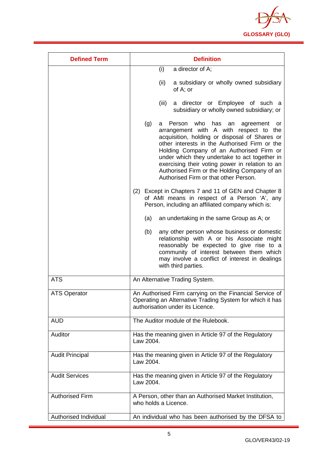

| <b>Defined Term</b>    | <b>Definition</b>                                                                                                                                                                                                                                                                                                                                                                                                                              |
|------------------------|------------------------------------------------------------------------------------------------------------------------------------------------------------------------------------------------------------------------------------------------------------------------------------------------------------------------------------------------------------------------------------------------------------------------------------------------|
|                        | a director of A;<br>(i)                                                                                                                                                                                                                                                                                                                                                                                                                        |
|                        | a subsidiary or wholly owned subsidiary<br>(ii)<br>of A; or                                                                                                                                                                                                                                                                                                                                                                                    |
|                        | a director or Employee of such a<br>(iii)<br>subsidiary or wholly owned subsidiary; or                                                                                                                                                                                                                                                                                                                                                         |
|                        | (g)<br>who<br>Person<br>has<br>an<br>agreement<br>a<br>or<br>arrangement with A with respect to the<br>acquisition, holding or disposal of Shares or<br>other interests in the Authorised Firm or the<br>Holding Company of an Authorised Firm or<br>under which they undertake to act together in<br>exercising their voting power in relation to an<br>Authorised Firm or the Holding Company of an<br>Authorised Firm or that other Person. |
|                        | (2) Except in Chapters 7 and 11 of GEN and Chapter 8<br>of AMI means in respect of a Person 'A', any<br>Person, including an affiliated company which is:                                                                                                                                                                                                                                                                                      |
|                        | (a)<br>an undertaking in the same Group as A; or                                                                                                                                                                                                                                                                                                                                                                                               |
|                        | (b)<br>any other person whose business or domestic<br>relationship with A or his Associate might<br>reasonably be expected to give rise to a<br>community of interest between them which<br>may involve a conflict of interest in dealings<br>with third parties.                                                                                                                                                                              |
| <b>ATS</b>             | An Alternative Trading System.                                                                                                                                                                                                                                                                                                                                                                                                                 |
| ATS Operator           | An Authorised Firm carrying on the Financial Service of<br>Operating an Alternative Trading System for which it has<br>authorisation under its Licence.                                                                                                                                                                                                                                                                                        |
| <b>AUD</b>             | The Auditor module of the Rulebook.                                                                                                                                                                                                                                                                                                                                                                                                            |
| Auditor                | Has the meaning given in Article 97 of the Regulatory<br>Law 2004.                                                                                                                                                                                                                                                                                                                                                                             |
| <b>Audit Principal</b> | Has the meaning given in Article 97 of the Regulatory<br>Law 2004.                                                                                                                                                                                                                                                                                                                                                                             |
| <b>Audit Services</b>  | Has the meaning given in Article 97 of the Regulatory<br>Law 2004.                                                                                                                                                                                                                                                                                                                                                                             |
| <b>Authorised Firm</b> | A Person, other than an Authorised Market Institution,<br>who holds a Licence.                                                                                                                                                                                                                                                                                                                                                                 |
| Authorised Individual  | An individual who has been authorised by the DFSA to                                                                                                                                                                                                                                                                                                                                                                                           |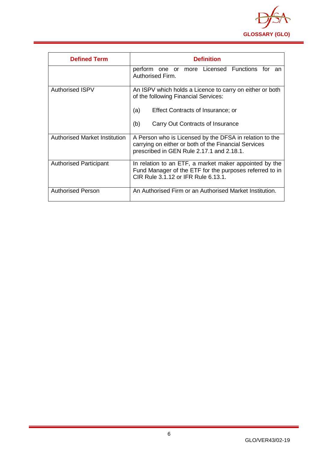

| <b>Defined Term</b>                  | <b>Definition</b>                                                                                                                                                                       |
|--------------------------------------|-----------------------------------------------------------------------------------------------------------------------------------------------------------------------------------------|
|                                      | perform one or more Licensed Functions for<br>an<br>Authorised Firm.                                                                                                                    |
| <b>Authorised ISPV</b>               | An ISPV which holds a Licence to carry on either or both<br>of the following Financial Services:<br>Effect Contracts of Insurance; or<br>(a)<br>(b)<br>Carry Out Contracts of Insurance |
| <b>Authorised Market Institution</b> | A Person who is Licensed by the DFSA in relation to the<br>carrying on either or both of the Financial Services<br>prescribed in GEN Rule 2.17.1 and 2.18.1.                            |
| <b>Authorised Participant</b>        | In relation to an ETF, a market maker appointed by the<br>Fund Manager of the ETF for the purposes referred to in<br>CIR Rule 3.1.12 or IFR Rule 6.13.1.                                |
| Authorised Person                    | An Authorised Firm or an Authorised Market Institution.                                                                                                                                 |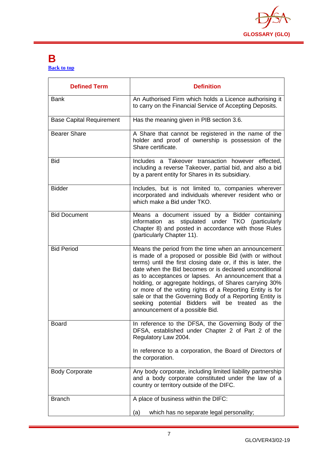

# <span id="page-7-0"></span>**B [Back to top](#page-1-0)**

| <b>Defined Term</b>             | <b>Definition</b>                                                                                                                                                                                                                                                                                                                                                                                                                                                                                                                                                         |
|---------------------------------|---------------------------------------------------------------------------------------------------------------------------------------------------------------------------------------------------------------------------------------------------------------------------------------------------------------------------------------------------------------------------------------------------------------------------------------------------------------------------------------------------------------------------------------------------------------------------|
| <b>Bank</b>                     | An Authorised Firm which holds a Licence authorising it<br>to carry on the Financial Service of Accepting Deposits.                                                                                                                                                                                                                                                                                                                                                                                                                                                       |
| <b>Base Capital Requirement</b> | Has the meaning given in PIB section 3.6.                                                                                                                                                                                                                                                                                                                                                                                                                                                                                                                                 |
| <b>Bearer Share</b>             | A Share that cannot be registered in the name of the<br>holder and proof of ownership is possession of the<br>Share certificate.                                                                                                                                                                                                                                                                                                                                                                                                                                          |
| <b>Bid</b>                      | Includes a Takeover transaction however effected,<br>including a reverse Takeover, partial bid, and also a bid<br>by a parent entity for Shares in its subsidiary.                                                                                                                                                                                                                                                                                                                                                                                                        |
| <b>Bidder</b>                   | Includes, but is not limited to, companies wherever<br>incorporated and individuals wherever resident who or<br>which make a Bid under TKO.                                                                                                                                                                                                                                                                                                                                                                                                                               |
| <b>Bid Document</b>             | Means a document issued by a Bidder containing<br>information as stipulated under TKO (particularly<br>Chapter 8) and posted in accordance with those Rules<br>(particularly Chapter 11).                                                                                                                                                                                                                                                                                                                                                                                 |
| <b>Bid Period</b>               | Means the period from the time when an announcement<br>is made of a proposed or possible Bid (with or without<br>terms) until the first closing date or, if this is later, the<br>date when the Bid becomes or is declared unconditional<br>as to acceptances or lapses. An announcement that a<br>holding, or aggregate holdings, of Shares carrying 30%<br>or more of the voting rights of a Reporting Entity is for<br>sale or that the Governing Body of a Reporting Entity is<br>seeking potential Bidders will be treated as the<br>announcement of a possible Bid. |
| <b>Board</b>                    | In reference to the DFSA, the Governing Body of the<br>DFSA, established under Chapter 2 of Part 2 of the<br>Regulatory Law 2004.<br>In reference to a corporation, the Board of Directors of<br>the corporation.                                                                                                                                                                                                                                                                                                                                                         |
| <b>Body Corporate</b>           | Any body corporate, including limited liability partnership<br>and a body corporate constituted under the law of a<br>country or territory outside of the DIFC.                                                                                                                                                                                                                                                                                                                                                                                                           |
| <b>Branch</b>                   | A place of business within the DIFC:<br>which has no separate legal personality;<br>(a)                                                                                                                                                                                                                                                                                                                                                                                                                                                                                   |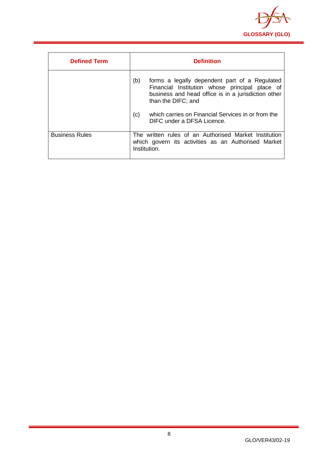

| <b>Defined Term</b>   | <b>Definition</b>                                                                                                                                                                   |
|-----------------------|-------------------------------------------------------------------------------------------------------------------------------------------------------------------------------------|
|                       | (b)<br>forms a legally dependent part of a Regulated<br>Financial Institution whose principal place of<br>business and head office is in a jurisdiction other<br>than the DIFC; and |
|                       | which carries on Financial Services in or from the<br>(c)<br>DIFC under a DFSA Licence.                                                                                             |
| <b>Business Rules</b> | The written rules of an Authorised Market Institution<br>which govern its activities as an Authorised Market<br>Institution.                                                        |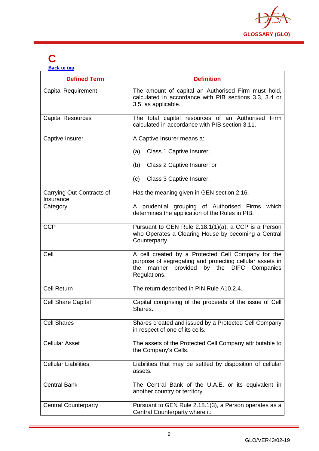

# <span id="page-9-0"></span>**C**

**[Back to top](#page-1-0)**

| <b>Defined Term</b>                    | <b>Definition</b>                                                                                                                                                              |
|----------------------------------------|--------------------------------------------------------------------------------------------------------------------------------------------------------------------------------|
| <b>Capital Requirement</b>             | The amount of capital an Authorised Firm must hold,<br>calculated in accordance with PIB sections 3.3, 3.4 or<br>3.5, as applicable.                                           |
| <b>Capital Resources</b>               | The total capital resources of an Authorised Firm<br>calculated in accordance with PIB section 3.11.                                                                           |
| Captive Insurer                        | A Captive Insurer means a:                                                                                                                                                     |
|                                        | Class 1 Captive Insurer;<br>(a)                                                                                                                                                |
|                                        | Class 2 Captive Insurer; or<br>(b)                                                                                                                                             |
|                                        | Class 3 Captive Insurer.<br>(c)                                                                                                                                                |
| Carrying Out Contracts of<br>Insurance | Has the meaning given in GEN section 2.16.                                                                                                                                     |
| Category                               | A prudential grouping of Authorised Firms which<br>determines the application of the Rules in PIB.                                                                             |
| <b>CCP</b>                             | Pursuant to GEN Rule 2.18.1(1)(a), a CCP is a Person<br>who Operates a Clearing House by becoming a Central<br>Counterparty.                                                   |
| Cell                                   | A cell created by a Protected Cell Company for the<br>purpose of segregating and protecting cellular assets in<br>manner provided by the DIFC Companies<br>the<br>Regulations. |
| <b>Cell Return</b>                     | The return described in PIN Rule A10.2.4.                                                                                                                                      |
| <b>Cell Share Capital</b>              | Capital comprising of the proceeds of the issue of Cell<br>Shares.                                                                                                             |
| <b>Cell Shares</b>                     | Shares created and issued by a Protected Cell Company<br>in respect of one of its cells.                                                                                       |
| <b>Cellular Asset</b>                  | The assets of the Protected Cell Company attributable to<br>the Company's Cells.                                                                                               |
| <b>Cellular Liabilities</b>            | Liabilities that may be settled by disposition of cellular<br>assets.                                                                                                          |
| <b>Central Bank</b>                    | The Central Bank of the U.A.E. or its equivalent in<br>another country or territory.                                                                                           |
| <b>Central Counterparty</b>            | Pursuant to GEN Rule 2.18.1(3), a Person operates as a<br>Central Counterparty where it:                                                                                       |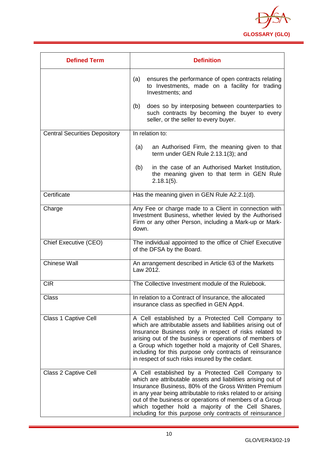

| <b>Defined Term</b>                  | <b>Definition</b>                                                                                                                                                                                                                                                                                                                                                                                                       |
|--------------------------------------|-------------------------------------------------------------------------------------------------------------------------------------------------------------------------------------------------------------------------------------------------------------------------------------------------------------------------------------------------------------------------------------------------------------------------|
|                                      | ensures the performance of open contracts relating<br>(a)<br>to Investments, made on a facility for trading<br>Investments; and                                                                                                                                                                                                                                                                                         |
|                                      | does so by interposing between counterparties to<br>(b)<br>such contracts by becoming the buyer to every<br>seller, or the seller to every buyer.                                                                                                                                                                                                                                                                       |
| <b>Central Securities Depository</b> | In relation to:                                                                                                                                                                                                                                                                                                                                                                                                         |
|                                      | an Authorised Firm, the meaning given to that<br>(a)<br>term under GEN Rule 2.13.1(3); and                                                                                                                                                                                                                                                                                                                              |
|                                      | in the case of an Authorised Market Institution,<br>(b)<br>the meaning given to that term in GEN Rule<br>$2.18.1(5)$ .                                                                                                                                                                                                                                                                                                  |
| Certificate                          | Has the meaning given in GEN Rule A2.2.1(d).                                                                                                                                                                                                                                                                                                                                                                            |
| Charge                               | Any Fee or charge made to a Client in connection with<br>Investment Business, whether levied by the Authorised<br>Firm or any other Person, including a Mark-up or Mark-<br>down.                                                                                                                                                                                                                                       |
| Chief Executive (CEO)                | The individual appointed to the office of Chief Executive<br>of the DFSA by the Board.                                                                                                                                                                                                                                                                                                                                  |
| <b>Chinese Wall</b>                  | An arrangement described in Article 63 of the Markets<br>Law 2012.                                                                                                                                                                                                                                                                                                                                                      |
| <b>CIR</b>                           | The Collective Investment module of the Rulebook.                                                                                                                                                                                                                                                                                                                                                                       |
| <b>Class</b>                         | In relation to a Contract of Insurance, the allocated<br>insurance class as specified in GEN App4.                                                                                                                                                                                                                                                                                                                      |
| Class 1 Captive Cell                 | A Cell established by a Protected Cell Company to<br>which are attributable assets and liabilities arising out of<br>Insurance Business only in respect of risks related to<br>arising out of the business or operations of members of<br>a Group which together hold a majority of Cell Shares,<br>including for this purpose only contracts of reinsurance<br>in respect of such risks insured by the cedant.         |
| Class 2 Captive Cell                 | A Cell established by a Protected Cell Company to<br>which are attributable assets and liabilities arising out of<br>Insurance Business, 80% of the Gross Written Premium<br>in any year being attributable to risks related to or arising<br>out of the business or operations of members of a Group<br>which together hold a majority of the Cell Shares,<br>including for this purpose only contracts of reinsurance |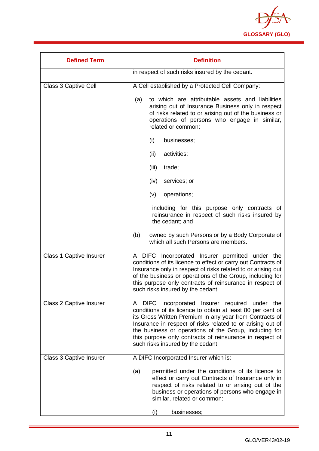

| <b>Defined Term</b>            | <b>Definition</b>                                                                                                                                                                                                                                                                                                                                                                                 |
|--------------------------------|---------------------------------------------------------------------------------------------------------------------------------------------------------------------------------------------------------------------------------------------------------------------------------------------------------------------------------------------------------------------------------------------------|
|                                | in respect of such risks insured by the cedant.                                                                                                                                                                                                                                                                                                                                                   |
| Class 3 Captive Cell           | A Cell established by a Protected Cell Company:                                                                                                                                                                                                                                                                                                                                                   |
|                                | to which are attributable assets and liabilities<br>(a)<br>arising out of Insurance Business only in respect<br>of risks related to or arising out of the business or<br>operations of persons who engage in similar,<br>related or common:                                                                                                                                                       |
|                                | (i)<br>businesses;                                                                                                                                                                                                                                                                                                                                                                                |
|                                | (ii)<br>activities;                                                                                                                                                                                                                                                                                                                                                                               |
|                                | (iii)<br>trade;                                                                                                                                                                                                                                                                                                                                                                                   |
|                                | services; or<br>(iv)                                                                                                                                                                                                                                                                                                                                                                              |
|                                | (v)<br>operations;                                                                                                                                                                                                                                                                                                                                                                                |
|                                | including for this purpose only contracts of<br>reinsurance in respect of such risks insured by<br>the cedant; and                                                                                                                                                                                                                                                                                |
|                                | (b)<br>owned by such Persons or by a Body Corporate of<br>which all such Persons are members.                                                                                                                                                                                                                                                                                                     |
| <b>Class 1 Captive Insurer</b> | A DIFC Incorporated Insurer permitted under the<br>conditions of its licence to effect or carry out Contracts of<br>Insurance only in respect of risks related to or arising out<br>of the business or operations of the Group, including for<br>this purpose only contracts of reinsurance in respect of<br>such risks insured by the cedant.                                                    |
| <b>Class 2 Captive Insurer</b> | A DIFC Incorporated Insurer required under the<br>conditions of its licence to obtain at least 80 per cent of<br>its Gross Written Premium in any year from Contracts of<br>Insurance in respect of risks related to or arising out of<br>the business or operations of the Group, including for<br>this purpose only contracts of reinsurance in respect of<br>such risks insured by the cedant. |
| Class 3 Captive Insurer        | A DIFC Incorporated Insurer which is:                                                                                                                                                                                                                                                                                                                                                             |
|                                | permitted under the conditions of its licence to<br>(a)<br>effect or carry out Contracts of Insurance only in<br>respect of risks related to or arising out of the<br>business or operations of persons who engage in<br>similar, related or common:                                                                                                                                              |
|                                | businesses;<br>(i)                                                                                                                                                                                                                                                                                                                                                                                |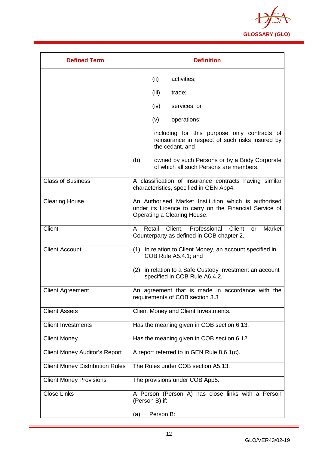

| <b>Defined Term</b>                    | <b>Definition</b>                                                                                                                             |
|----------------------------------------|-----------------------------------------------------------------------------------------------------------------------------------------------|
|                                        | (ii)<br>activities;                                                                                                                           |
|                                        | (iii)<br>trade;                                                                                                                               |
|                                        | (iv)<br>services; or                                                                                                                          |
|                                        | (v)<br>operations;                                                                                                                            |
|                                        | including for this purpose only contracts of<br>reinsurance in respect of such risks insured by<br>the cedant, and                            |
|                                        | (b)<br>owned by such Persons or by a Body Corporate<br>of which all such Persons are members.                                                 |
| <b>Class of Business</b>               | A classification of insurance contracts having similar<br>characteristics, specified in GEN App4.                                             |
| <b>Clearing House</b>                  | An Authorised Market Institution which is authorised<br>under its Licence to carry on the Financial Service of<br>Operating a Clearing House. |
| Client                                 | Retail Client, Professional Client<br>Market<br>A<br>or<br>Counterparty as defined in COB chapter 2.                                          |
| <b>Client Account</b>                  | (1) In relation to Client Money, an account specified in<br>COB Rule A5.4.1; and                                                              |
|                                        | (2) in relation to a Safe Custody Investment an account<br>specified in COB Rule A6.4.2.                                                      |
| <b>Client Agreement</b>                | An agreement that is made in accordance with the<br>requirements of COB section 3.3                                                           |
| <b>Client Assets</b>                   | Client Money and Client Investments.                                                                                                          |
| <b>Client Investments</b>              | Has the meaning given in COB section 6.13.                                                                                                    |
| <b>Client Money</b>                    | Has the meaning given in COB section 6.12.                                                                                                    |
| <b>Client Money Auditor's Report</b>   | A report referred to in GEN Rule 8.6.1(c).                                                                                                    |
| <b>Client Money Distribution Rules</b> | The Rules under COB section A5.13.                                                                                                            |
| <b>Client Money Provisions</b>         | The provisions under COB App5.                                                                                                                |
| <b>Close Links</b>                     | A Person (Person A) has close links with a Person<br>(Person B) if:                                                                           |
|                                        | Person B:<br>(a)                                                                                                                              |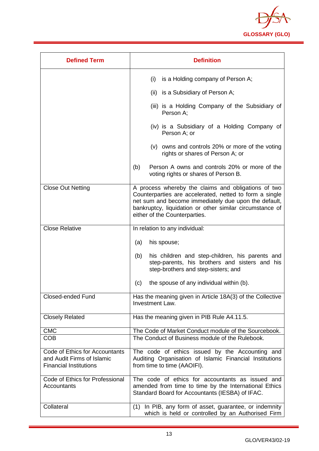

| <b>Defined Term</b>                                                                           | <b>Definition</b>                                                                                                                                                                                                                                                   |
|-----------------------------------------------------------------------------------------------|---------------------------------------------------------------------------------------------------------------------------------------------------------------------------------------------------------------------------------------------------------------------|
|                                                                                               | (i)<br>is a Holding company of Person A;                                                                                                                                                                                                                            |
|                                                                                               | (ii) is a Subsidiary of Person A;                                                                                                                                                                                                                                   |
|                                                                                               | (iii) is a Holding Company of the Subsidiary of<br>Person A:                                                                                                                                                                                                        |
|                                                                                               | (iv) is a Subsidiary of a Holding Company of<br>Person A; or                                                                                                                                                                                                        |
|                                                                                               | (v) owns and controls 20% or more of the voting<br>rights or shares of Person A; or                                                                                                                                                                                 |
|                                                                                               | (b)<br>Person A owns and controls 20% or more of the<br>voting rights or shares of Person B.                                                                                                                                                                        |
| <b>Close Out Netting</b>                                                                      | A process whereby the claims and obligations of two<br>Counterparties are accelerated, netted to form a single<br>net sum and become immediately due upon the default,<br>bankruptcy, liquidation or other similar circumstance of<br>either of the Counterparties. |
| <b>Close Relative</b>                                                                         | In relation to any individual:                                                                                                                                                                                                                                      |
|                                                                                               | (a)<br>his spouse;                                                                                                                                                                                                                                                  |
|                                                                                               | his children and step-children, his parents and<br>(b)<br>step-parents, his brothers and sisters and his<br>step-brothers and step-sisters; and                                                                                                                     |
|                                                                                               | the spouse of any individual within (b).<br>(c)                                                                                                                                                                                                                     |
| <b>Closed-ended Fund</b>                                                                      | Has the meaning given in Article 18A(3) of the Collective<br>Investment Law.                                                                                                                                                                                        |
| <b>Closely Related</b>                                                                        | Has the meaning given in PIB Rule A4.11.5.                                                                                                                                                                                                                          |
| <b>CMC</b>                                                                                    | The Code of Market Conduct module of the Sourcebook.                                                                                                                                                                                                                |
| <b>COB</b>                                                                                    | The Conduct of Business module of the Rulebook.                                                                                                                                                                                                                     |
| Code of Ethics for Accountants<br>and Audit Firms of Islamic<br><b>Financial Institutions</b> | The code of ethics issued by the Accounting and<br>Auditing Organisation of Islamic Financial Institutions<br>from time to time (AAOIFI).                                                                                                                           |
| Code of Ethics for Professional<br>Accountants                                                | The code of ethics for accountants as issued and<br>amended from time to time by the International Ethics<br>Standard Board for Accountants (IESBA) of IFAC.                                                                                                        |
| Collateral                                                                                    | (1) In PIB, any form of asset, guarantee, or indemnity<br>which is held or controlled by an Authorised Firm                                                                                                                                                         |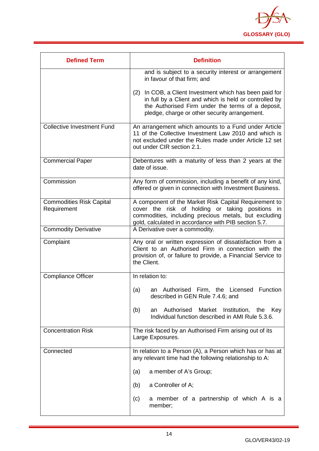

| <b>Defined Term</b>                            | <b>Definition</b>                                                                                                                                                                                                          |  |  |  |
|------------------------------------------------|----------------------------------------------------------------------------------------------------------------------------------------------------------------------------------------------------------------------------|--|--|--|
|                                                | and is subject to a security interest or arrangement<br>in favour of that firm; and                                                                                                                                        |  |  |  |
|                                                | In COB, a Client Investment which has been paid for<br>(2)<br>in full by a Client and which is held or controlled by<br>the Authorised Firm under the terms of a deposit,<br>pledge, charge or other security arrangement. |  |  |  |
| <b>Collective Investment Fund</b>              | An arrangement which amounts to a Fund under Article<br>11 of the Collective Investment Law 2010 and which is<br>not excluded under the Rules made under Article 12 set<br>out under CIR section 2.1.                      |  |  |  |
| <b>Commercial Paper</b>                        | Debentures with a maturity of less than 2 years at the<br>date of issue.                                                                                                                                                   |  |  |  |
| Commission                                     | Any form of commission, including a benefit of any kind,<br>offered or given in connection with Investment Business.                                                                                                       |  |  |  |
| <b>Commodities Risk Capital</b><br>Requirement | A component of the Market Risk Capital Requirement to<br>cover the risk of holding or taking positions in<br>commodities, including precious metals, but excluding<br>gold, calculated in accordance with PIB section 5.7. |  |  |  |
| <b>Commodity Derivative</b>                    | A Derivative over a commodity.                                                                                                                                                                                             |  |  |  |
| Complaint                                      | Any oral or written expression of dissatisfaction from a<br>Client to an Authorised Firm in connection with the<br>provision of, or failure to provide, a Financial Service to<br>the Client.                              |  |  |  |
| <b>Compliance Officer</b>                      | In relation to:                                                                                                                                                                                                            |  |  |  |
|                                                | an Authorised<br>Firm, the<br>Licensed Function<br>(a)<br>described in GEN Rule 7.4.6; and                                                                                                                                 |  |  |  |
|                                                | Authorised<br>(b)<br>Market<br>Institution, the<br>Key<br>an<br>Individual function described in AMI Rule 5.3.6.                                                                                                           |  |  |  |
| <b>Concentration Risk</b>                      | The risk faced by an Authorised Firm arising out of its<br>Large Exposures.                                                                                                                                                |  |  |  |
| Connected                                      | In relation to a Person (A), a Person which has or has at<br>any relevant time had the following relationship to A:                                                                                                        |  |  |  |
|                                                | a member of A's Group;<br>(a)                                                                                                                                                                                              |  |  |  |
|                                                | a Controller of A;<br>(b)                                                                                                                                                                                                  |  |  |  |
|                                                | a member of a partnership of which A is a<br>(c)<br>member;                                                                                                                                                                |  |  |  |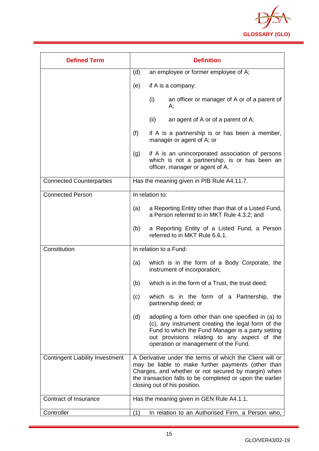

| <b>Defined Term</b>                    | <b>Definition</b>                                                                                                                                                                                                                                                  |  |  |  |
|----------------------------------------|--------------------------------------------------------------------------------------------------------------------------------------------------------------------------------------------------------------------------------------------------------------------|--|--|--|
|                                        | (d)<br>an employee or former employee of A;                                                                                                                                                                                                                        |  |  |  |
|                                        | (e)<br>if A is a company:                                                                                                                                                                                                                                          |  |  |  |
|                                        | (i)<br>an officer or manager of A or of a parent of<br>А;                                                                                                                                                                                                          |  |  |  |
|                                        | (ii)<br>an agent of A or of a parent of A;                                                                                                                                                                                                                         |  |  |  |
|                                        | (f)<br>if A is a partnership is or has been a member,<br>manager or agent of A; or                                                                                                                                                                                 |  |  |  |
|                                        | if A is an unincorporated association of persons<br>(g)<br>which is not a partnership, is or has been an<br>officer, manager or agent of A.                                                                                                                        |  |  |  |
| <b>Connected Counterparties</b>        | Has the meaning given in PIB Rule A4.11.7.                                                                                                                                                                                                                         |  |  |  |
| <b>Connected Person</b>                | In relation to:                                                                                                                                                                                                                                                    |  |  |  |
|                                        | a Reporting Entity other than that of a Listed Fund,<br>(a)<br>a Person referred to in MKT Rule 4.3.2; and                                                                                                                                                         |  |  |  |
|                                        | a Reporting Entity of a Listed Fund, a Person<br>(b)<br>referred to in MKT Rule 6.6.1.                                                                                                                                                                             |  |  |  |
| Constitution                           | In relation to a Fund:                                                                                                                                                                                                                                             |  |  |  |
|                                        | which is in the form of a Body Corporate, the<br>(a)<br>instrument of incorporation;                                                                                                                                                                               |  |  |  |
|                                        | (b)<br>which is in the form of a Trust, the trust deed;                                                                                                                                                                                                            |  |  |  |
|                                        | which is in the form of a Partnership,<br>(c)<br>the<br>partnership deed; or                                                                                                                                                                                       |  |  |  |
|                                        | (d)<br>adopting a form other than one specified in (a) to<br>(c), any instrument creating the legal form of the<br>Fund to which the Fund Manager is a party setting<br>out provisions relating to any aspect of the<br>operation or management of the Fund.       |  |  |  |
| <b>Contingent Liability Investment</b> | A Derivative under the terms of which the Client will or<br>may be liable to make further payments (other than<br>Charges, and whether or not secured by margin) when<br>the transaction falls to be completed or upon the earlier<br>closing out of his position. |  |  |  |
| Contract of Insurance                  | Has the meaning given in GEN Rule A4.1.1.                                                                                                                                                                                                                          |  |  |  |
| Controller                             | In relation to an Authorised Firm, a Person who,<br>(1)                                                                                                                                                                                                            |  |  |  |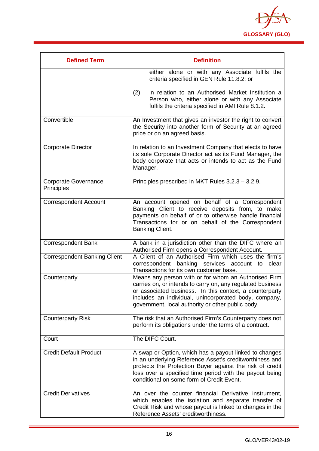

| <b>Defined Term</b>                       | <b>Definition</b>                                                                                                                                                                                                                                                                           |  |  |  |
|-------------------------------------------|---------------------------------------------------------------------------------------------------------------------------------------------------------------------------------------------------------------------------------------------------------------------------------------------|--|--|--|
|                                           | either alone or with any Associate fulfils the<br>criteria specified in GEN Rule 11.8.2; or                                                                                                                                                                                                 |  |  |  |
|                                           | in relation to an Authorised Market Institution a<br>(2)<br>Person who, either alone or with any Associate<br>fulfils the criteria specified in AMI Rule 8.1.2.                                                                                                                             |  |  |  |
| Convertible                               | An Investment that gives an investor the right to convert<br>the Security into another form of Security at an agreed<br>price or on an agreed basis.                                                                                                                                        |  |  |  |
| <b>Corporate Director</b>                 | In relation to an Investment Company that elects to have<br>its sole Corporate Director act as its Fund Manager, the<br>body corporate that acts or intends to act as the Fund<br>Manager.                                                                                                  |  |  |  |
| <b>Corporate Governance</b><br>Principles | Principles prescribed in MKT Rules 3.2.3 - 3.2.9.                                                                                                                                                                                                                                           |  |  |  |
| <b>Correspondent Account</b>              | An account opened on behalf of a Correspondent<br>Banking Client to receive deposits from, to make<br>payments on behalf of or to otherwise handle financial<br>Transactions for or on behalf of the Correspondent<br>Banking Client.                                                       |  |  |  |
| <b>Correspondent Bank</b>                 | A bank in a jurisdiction other than the DIFC where an<br>Authorised Firm opens a Correspondent Account.                                                                                                                                                                                     |  |  |  |
| <b>Correspondent Banking Client</b>       | A Client of an Authorised Firm which uses the firm's<br>correspondent banking services account to clear<br>Transactions for its own customer base.                                                                                                                                          |  |  |  |
| Counterparty                              | Means any person with or for whom an Authorised Firm<br>carries on, or intends to carry on, any regulated business<br>or associated business. In this context, a counterparty<br>includes an individual, unincorporated body, company,<br>government, local authority or other public body. |  |  |  |
| <b>Counterparty Risk</b>                  | The risk that an Authorised Firm's Counterparty does not<br>perform its obligations under the terms of a contract.                                                                                                                                                                          |  |  |  |
| Court                                     | The DIFC Court.                                                                                                                                                                                                                                                                             |  |  |  |
| <b>Credit Default Product</b>             | A swap or Option, which has a payout linked to changes<br>in an underlying Reference Asset's creditworthiness and<br>protects the Protection Buyer against the risk of credit<br>loss over a specified time period with the payout being<br>conditional on some form of Credit Event.       |  |  |  |
| <b>Credit Derivatives</b>                 | An over the counter financial Derivative instrument,<br>which enables the isolation and separate transfer of<br>Credit Risk and whose payout is linked to changes in the<br>Reference Assets' creditworthiness.                                                                             |  |  |  |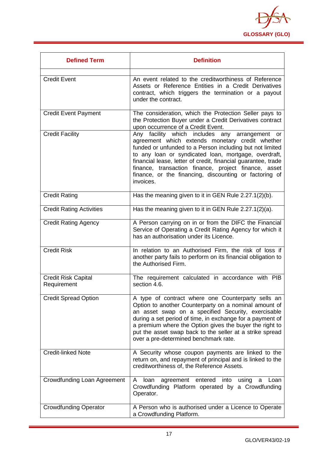

| <b>Defined Term</b>                       | <b>Definition</b>                                                                                                                                                                                                                                                                                                                                                                                                     |  |  |
|-------------------------------------------|-----------------------------------------------------------------------------------------------------------------------------------------------------------------------------------------------------------------------------------------------------------------------------------------------------------------------------------------------------------------------------------------------------------------------|--|--|
| <b>Credit Event</b>                       | An event related to the creditworthiness of Reference<br>Assets or Reference Entities in a Credit Derivatives<br>contract, which triggers the termination or a payout<br>under the contract.                                                                                                                                                                                                                          |  |  |
| <b>Credit Event Payment</b>               | The consideration, which the Protection Seller pays to<br>the Protection Buyer under a Credit Derivatives contract<br>upon occurrence of a Credit Event.                                                                                                                                                                                                                                                              |  |  |
| <b>Credit Facility</b>                    | Any facility which includes any arrangement or<br>agreement which extends monetary credit whether<br>funded or unfunded to a Person including but not limited<br>to any loan or syndicated loan, mortgage, overdraft,<br>financial lease, letter of credit, financial guarantee, trade<br>finance, transaction finance, project finance, asset<br>finance, or the financing, discounting or factoring of<br>invoices. |  |  |
| <b>Credit Rating</b>                      | Has the meaning given to it in GEN Rule 2.27.1(2)(b).                                                                                                                                                                                                                                                                                                                                                                 |  |  |
| <b>Credit Rating Activities</b>           | Has the meaning given to it in GEN Rule 2.27.1(2)(a).                                                                                                                                                                                                                                                                                                                                                                 |  |  |
| <b>Credit Rating Agency</b>               | A Person carrying on in or from the DIFC the Financial<br>Service of Operating a Credit Rating Agency for which it<br>has an authorisation under its Licence.                                                                                                                                                                                                                                                         |  |  |
| <b>Credit Risk</b>                        | In relation to an Authorised Firm, the risk of loss if<br>another party fails to perform on its financial obligation to<br>the Authorised Firm.                                                                                                                                                                                                                                                                       |  |  |
| <b>Credit Risk Capital</b><br>Requirement | The requirement calculated in accordance with PIB<br>section 4.6.                                                                                                                                                                                                                                                                                                                                                     |  |  |
| <b>Credit Spread Option</b>               | A type of contract where one Counterparty sells an<br>Option to another Counterparty on a nominal amount of<br>an asset swap on a specified Security, exercisable<br>during a set period of time, in exchange for a payment of<br>a premium where the Option gives the buyer the right to<br>put the asset swap back to the seller at a strike spread<br>over a pre-determined benchmark rate.                        |  |  |
| <b>Credit-linked Note</b>                 | A Security whose coupon payments are linked to the<br>return on, and repayment of principal and is linked to the<br>creditworthiness of, the Reference Assets.                                                                                                                                                                                                                                                        |  |  |
| Crowdfunding Loan Agreement               | A<br>loan<br>agreement<br>entered<br>into<br>using<br>Loan<br>a<br>Crowdfunding Platform operated by a Crowdfunding<br>Operator.                                                                                                                                                                                                                                                                                      |  |  |
| <b>Crowdfunding Operator</b>              | A Person who is authorised under a Licence to Operate<br>a Crowdfunding Platform.                                                                                                                                                                                                                                                                                                                                     |  |  |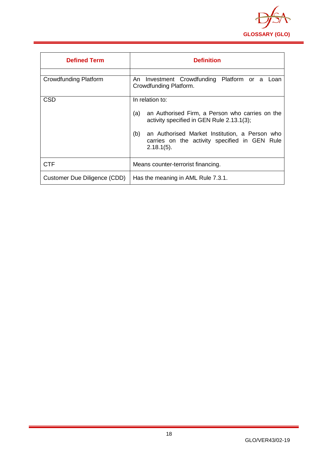

<span id="page-18-0"></span>

| <b>Defined Term</b>          | <b>Definition</b>                                                                                                                                                                                                                                 |  |  |  |
|------------------------------|---------------------------------------------------------------------------------------------------------------------------------------------------------------------------------------------------------------------------------------------------|--|--|--|
| <b>Crowdfunding Platform</b> | An Investment Crowdfunding Platform or a Loan<br>Crowdfunding Platform.                                                                                                                                                                           |  |  |  |
| <b>CSD</b>                   | In relation to:<br>an Authorised Firm, a Person who carries on the<br>(a)<br>activity specified in GEN Rule 2.13.1(3);<br>(b)<br>an Authorised Market Institution, a Person who<br>carries on the activity specified in GEN Rule<br>$2.18.1(5)$ . |  |  |  |
| <b>CTF</b>                   | Means counter-terrorist financing.                                                                                                                                                                                                                |  |  |  |
| Customer Due Diligence (CDD) | Has the meaning in AML Rule 7.3.1.                                                                                                                                                                                                                |  |  |  |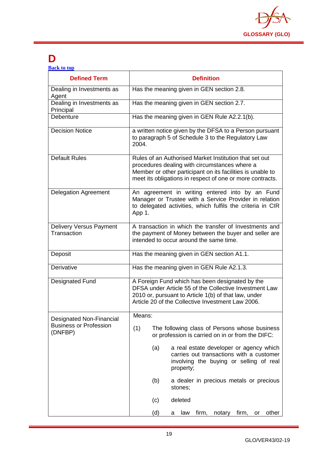

# **D**

| <b>Back to top</b> |  |  |
|--------------------|--|--|
|                    |  |  |

| <b>Defined Term</b>                           | <b>Definition</b>                                                                                                                                                                                                                  |  |  |  |  |
|-----------------------------------------------|------------------------------------------------------------------------------------------------------------------------------------------------------------------------------------------------------------------------------------|--|--|--|--|
| Dealing in Investments as<br>Agent            | Has the meaning given in GEN section 2.8.                                                                                                                                                                                          |  |  |  |  |
| Dealing in Investments as<br>Principal        | Has the meaning given in GEN section 2.7.                                                                                                                                                                                          |  |  |  |  |
| Debenture                                     | Has the meaning given in GEN Rule A2.2.1(b).                                                                                                                                                                                       |  |  |  |  |
| <b>Decision Notice</b>                        | a written notice given by the DFSA to a Person pursuant<br>to paragraph 5 of Schedule 3 to the Regulatory Law<br>2004.                                                                                                             |  |  |  |  |
| <b>Default Rules</b>                          | Rules of an Authorised Market Institution that set out<br>procedures dealing with circumstances where a<br>Member or other participant on its facilities is unable to<br>meet its obligations in respect of one or more contracts. |  |  |  |  |
| <b>Delegation Agreement</b>                   | An agreement in writing entered into by an Fund<br>Manager or Trustee with a Service Provider in relation<br>to delegated activities, which fulfils the criteria in CIR<br>App 1.                                                  |  |  |  |  |
| <b>Delivery Versus Payment</b><br>Transaction | A transaction in which the transfer of Investments and<br>the payment of Money between the buyer and seller are<br>intended to occur around the same time.                                                                         |  |  |  |  |
| Deposit                                       | Has the meaning given in GEN section A1.1.                                                                                                                                                                                         |  |  |  |  |
| Derivative                                    | Has the meaning given in GEN Rule A2.1.3.                                                                                                                                                                                          |  |  |  |  |
| <b>Designated Fund</b>                        | A Foreign Fund which has been designated by the<br>DFSA under Article 55 of the Collective Investment Law<br>2010 or, pursuant to Article 1(b) of that law, under<br>Article 20 of the Collective Investment Law 2006.             |  |  |  |  |
| Designated Non-Financial                      | Means:                                                                                                                                                                                                                             |  |  |  |  |
| <b>Business or Profession</b><br>(DNFBP)      | (1)<br>The following class of Persons whose business<br>or profession is carried on in or from the DIFC:                                                                                                                           |  |  |  |  |
|                                               | a real estate developer or agency which<br>(a)<br>carries out transactions with a customer<br>involving the buying or selling of real<br>property;                                                                                 |  |  |  |  |
|                                               | (b)<br>a dealer in precious metals or precious<br>stones;                                                                                                                                                                          |  |  |  |  |
|                                               | deleted<br>(c)                                                                                                                                                                                                                     |  |  |  |  |
|                                               | (d)<br>firm,<br>other<br>law<br>firm,<br>notary<br>or<br>а                                                                                                                                                                         |  |  |  |  |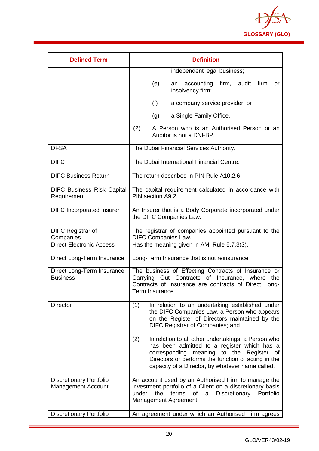

| <b>Defined Term</b>                                         | <b>Definition</b>                                                                                                                                                                                                                                                      |  |  |  |
|-------------------------------------------------------------|------------------------------------------------------------------------------------------------------------------------------------------------------------------------------------------------------------------------------------------------------------------------|--|--|--|
|                                                             | independent legal business;                                                                                                                                                                                                                                            |  |  |  |
|                                                             | firm, audit firm<br>(e)<br>accounting<br>an<br>or<br>insolvency firm;                                                                                                                                                                                                  |  |  |  |
|                                                             | (f)<br>a company service provider; or                                                                                                                                                                                                                                  |  |  |  |
|                                                             | a Single Family Office.<br>(g)                                                                                                                                                                                                                                         |  |  |  |
|                                                             | (2)<br>A Person who is an Authorised Person or an<br>Auditor is not a DNFBP.                                                                                                                                                                                           |  |  |  |
| <b>DFSA</b>                                                 | The Dubai Financial Services Authority.                                                                                                                                                                                                                                |  |  |  |
| <b>DIFC</b>                                                 | The Dubai International Financial Centre.                                                                                                                                                                                                                              |  |  |  |
| <b>DIFC Business Return</b>                                 | The return described in PIN Rule A10.2.6.                                                                                                                                                                                                                              |  |  |  |
| <b>DIFC Business Risk Capital</b><br>Requirement            | The capital requirement calculated in accordance with<br>PIN section A9.2.                                                                                                                                                                                             |  |  |  |
| <b>DIFC Incorporated Insurer</b>                            | An Insurer that is a Body Corporate incorporated under<br>the DIFC Companies Law.                                                                                                                                                                                      |  |  |  |
| <b>DIFC Registrar of</b><br>Companies                       | The registrar of companies appointed pursuant to the<br><b>DIFC Companies Law.</b>                                                                                                                                                                                     |  |  |  |
| <b>Direct Electronic Access</b>                             | Has the meaning given in AMI Rule 5.7.3(3).                                                                                                                                                                                                                            |  |  |  |
| Direct Long-Term Insurance                                  | Long-Term Insurance that is not reinsurance                                                                                                                                                                                                                            |  |  |  |
| Direct Long-Term Insurance<br><b>Business</b>               | The business of Effecting Contracts of Insurance or<br>Carrying Out Contracts of Insurance, where the<br>Contracts of Insurance are contracts of Direct Long-<br>Term Insurance                                                                                        |  |  |  |
| <b>Director</b>                                             | (1)<br>In relation to an undertaking established under<br>the DIFC Companies Law, a Person who appears<br>on the Register of Directors maintained by the<br>DIFC Registrar of Companies; and                                                                           |  |  |  |
|                                                             | (2)<br>In relation to all other undertakings, a Person who<br>has been admitted to a register which has a<br>meaning to the Register<br>corresponding<br>of<br>Directors or performs the function of acting in the<br>capacity of a Director, by whatever name called. |  |  |  |
| <b>Discretionary Portfolio</b><br><b>Management Account</b> | An account used by an Authorised Firm to manage the<br>investment portfolio of a Client on a discretionary basis<br>under<br>the<br>terms<br>Discretionary<br>of<br>Portfolio<br>a<br>Management Agreement.                                                            |  |  |  |
| <b>Discretionary Portfolio</b>                              | An agreement under which an Authorised Firm agrees                                                                                                                                                                                                                     |  |  |  |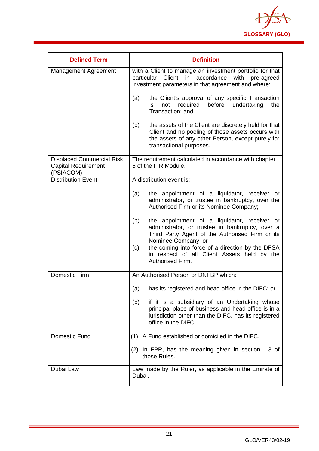

| <b>Defined Term</b>                                                         | <b>Definition</b>                                                                                                                                                                                                                                                                                              |  |  |  |  |
|-----------------------------------------------------------------------------|----------------------------------------------------------------------------------------------------------------------------------------------------------------------------------------------------------------------------------------------------------------------------------------------------------------|--|--|--|--|
| Management Agreement                                                        | with a Client to manage an investment portfolio for that<br>particular Client in accordance with pre-agreed<br>investment parameters in that agreement and where:                                                                                                                                              |  |  |  |  |
|                                                                             | the Client's approval of any specific Transaction<br>(a)<br>before<br>undertaking<br>not<br>required<br>the<br>is.<br>Transaction; and                                                                                                                                                                         |  |  |  |  |
|                                                                             | (b)<br>the assets of the Client are discretely held for that<br>Client and no pooling of those assets occurs with<br>the assets of any other Person, except purely for<br>transactional purposes.                                                                                                              |  |  |  |  |
| <b>Displaced Commercial Risk</b><br><b>Capital Requirement</b><br>(PSIACOM) | The requirement calculated in accordance with chapter<br>5 of the IFR Module.                                                                                                                                                                                                                                  |  |  |  |  |
| <b>Distribution Event</b>                                                   | A distribution event is:                                                                                                                                                                                                                                                                                       |  |  |  |  |
|                                                                             | the appointment of a liquidator, receiver or<br>(a)<br>administrator, or trustee in bankruptcy, over the<br>Authorised Firm or its Nominee Company;                                                                                                                                                            |  |  |  |  |
|                                                                             | (b)<br>the appointment of a liquidator, receiver or<br>administrator, or trustee in bankruptcy, over a<br>Third Party Agent of the Authorised Firm or its<br>Nominee Company; or<br>the coming into force of a direction by the DFSA<br>(c)<br>in respect of all Client Assets held by the<br>Authorised Firm. |  |  |  |  |
| <b>Domestic Firm</b>                                                        | An Authorised Person or DNFBP which:                                                                                                                                                                                                                                                                           |  |  |  |  |
|                                                                             | has its registered and head office in the DIFC; or<br>(a)                                                                                                                                                                                                                                                      |  |  |  |  |
|                                                                             | if it is a subsidiary of an Undertaking whose<br>(b)<br>principal place of business and head office is in a<br>jurisdiction other than the DIFC, has its registered<br>office in the DIFC.                                                                                                                     |  |  |  |  |
| Domestic Fund                                                               | A Fund established or domiciled in the DIFC.<br>(1)                                                                                                                                                                                                                                                            |  |  |  |  |
|                                                                             | (2) In FPR, has the meaning given in section 1.3 of<br>those Rules.                                                                                                                                                                                                                                            |  |  |  |  |
| Dubai Law                                                                   | Law made by the Ruler, as applicable in the Emirate of<br>Dubai.                                                                                                                                                                                                                                               |  |  |  |  |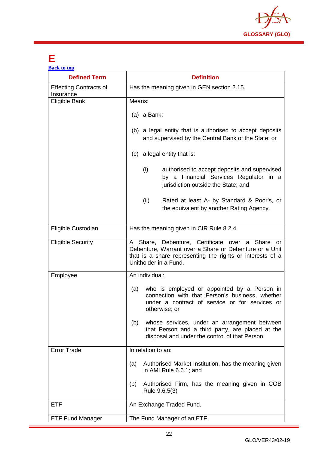

# <span id="page-22-0"></span>**E**

| <b>Back to top</b>                         |                                                                                                                                                                                                 |  |  |  |
|--------------------------------------------|-------------------------------------------------------------------------------------------------------------------------------------------------------------------------------------------------|--|--|--|
| <b>Defined Term</b>                        | <b>Definition</b>                                                                                                                                                                               |  |  |  |
| <b>Effecting Contracts of</b><br>Insurance | Has the meaning given in GEN section 2.15.                                                                                                                                                      |  |  |  |
| Eligible Bank                              | Means:                                                                                                                                                                                          |  |  |  |
|                                            | $(a)$ a Bank;                                                                                                                                                                                   |  |  |  |
|                                            | (b) a legal entity that is authorised to accept deposits<br>and supervised by the Central Bank of the State; or                                                                                 |  |  |  |
|                                            | (c) a legal entity that is:                                                                                                                                                                     |  |  |  |
|                                            | (i)<br>authorised to accept deposits and supervised<br>by a Financial Services Regulator in a<br>jurisdiction outside the State; and                                                            |  |  |  |
|                                            | (ii)<br>Rated at least A- by Standard & Poor's, or<br>the equivalent by another Rating Agency.                                                                                                  |  |  |  |
| Eligible Custodian                         | Has the meaning given in CIR Rule 8.2.4                                                                                                                                                         |  |  |  |
| <b>Eligible Security</b>                   | A Share, Debenture, Certificate over a Share or<br>Debenture, Warrant over a Share or Debenture or a Unit<br>that is a share representing the rights or interests of a<br>Unitholder in a Fund. |  |  |  |
| Employee                                   | An individual:                                                                                                                                                                                  |  |  |  |
|                                            | who is employed or appointed by a Person in<br>(a)<br>connection with that Person's business, whether<br>under a contract of service or for services or<br>otherwise; or                        |  |  |  |
|                                            | whose services, under an arrangement between<br>(b)<br>that Person and a third party, are placed at the<br>disposal and under the control of that Person.                                       |  |  |  |
| <b>Error Trade</b>                         | In relation to an:                                                                                                                                                                              |  |  |  |
|                                            | Authorised Market Institution, has the meaning given<br>(a)<br>in AMI Rule 6.6.1; and                                                                                                           |  |  |  |
|                                            | Authorised Firm, has the meaning given in COB<br>(b)<br>Rule 9.6.5(3)                                                                                                                           |  |  |  |
| <b>ETF</b>                                 | An Exchange Traded Fund.                                                                                                                                                                        |  |  |  |
| <b>ETF Fund Manager</b>                    | The Fund Manager of an ETF.                                                                                                                                                                     |  |  |  |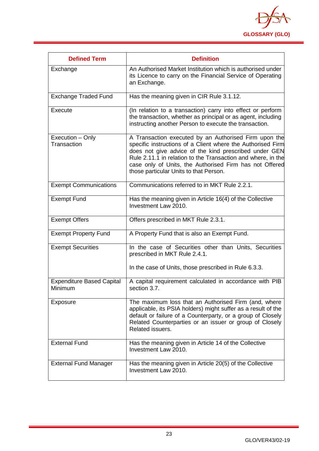

<span id="page-23-0"></span>

| <b>Defined Term</b>                         | <b>Definition</b>                                                                                                                                                                                                                                                                                                                                  |
|---------------------------------------------|----------------------------------------------------------------------------------------------------------------------------------------------------------------------------------------------------------------------------------------------------------------------------------------------------------------------------------------------------|
| Exchange                                    | An Authorised Market Institution which is authorised under<br>its Licence to carry on the Financial Service of Operating<br>an Exchange.                                                                                                                                                                                                           |
| <b>Exchange Traded Fund</b>                 | Has the meaning given in CIR Rule 3.1.12.                                                                                                                                                                                                                                                                                                          |
| Execute                                     | (In relation to a transaction) carry into effect or perform<br>the transaction, whether as principal or as agent, including<br>instructing another Person to execute the transaction.                                                                                                                                                              |
| Execution - Only<br>Transaction             | A Transaction executed by an Authorised Firm upon the<br>specific instructions of a Client where the Authorised Firm<br>does not give advice of the kind prescribed under GEN<br>Rule 2.11.1 in relation to the Transaction and where, in the<br>case only of Units, the Authorised Firm has not Offered<br>those particular Units to that Person. |
| <b>Exempt Communications</b>                | Communications referred to in MKT Rule 2.2.1.                                                                                                                                                                                                                                                                                                      |
| <b>Exempt Fund</b>                          | Has the meaning given in Article 16(4) of the Collective<br>Investment Law 2010.                                                                                                                                                                                                                                                                   |
| <b>Exempt Offers</b>                        | Offers prescribed in MKT Rule 2.3.1.                                                                                                                                                                                                                                                                                                               |
| <b>Exempt Property Fund</b>                 | A Property Fund that is also an Exempt Fund.                                                                                                                                                                                                                                                                                                       |
| <b>Exempt Securities</b>                    | In the case of Securities other than Units, Securities<br>prescribed in MKT Rule 2.4.1.                                                                                                                                                                                                                                                            |
|                                             | In the case of Units, those prescribed in Rule 6.3.3.                                                                                                                                                                                                                                                                                              |
| <b>Expenditure Based Capital</b><br>Minimum | A capital requirement calculated in accordance with PIB<br>section 3.7.                                                                                                                                                                                                                                                                            |
| Exposure                                    | The maximum loss that an Authorised Firm (and, where<br>applicable, its PSIA holders) might suffer as a result of the<br>default or failure of a Counterparty, or a group of Closely<br>Related Counterparties or an issuer or group of Closely<br>Related issuers.                                                                                |
| <b>External Fund</b>                        | Has the meaning given in Article 14 of the Collective<br>Investment Law 2010.                                                                                                                                                                                                                                                                      |
| <b>External Fund Manager</b>                | Has the meaning given in Article 20(5) of the Collective<br>Investment Law 2010.                                                                                                                                                                                                                                                                   |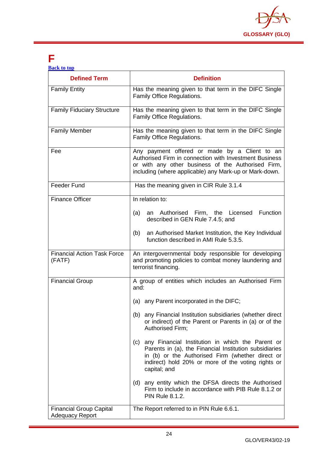

# **F**

|  | <b>Back to top</b> |  |
|--|--------------------|--|
|  |                    |  |

| <b>Defined Term</b>                                      | <b>Definition</b>                                                                                                                                                                                                                           |  |
|----------------------------------------------------------|---------------------------------------------------------------------------------------------------------------------------------------------------------------------------------------------------------------------------------------------|--|
| <b>Family Entity</b>                                     | Has the meaning given to that term in the DIFC Single<br>Family Office Regulations.                                                                                                                                                         |  |
| <b>Family Fiduciary Structure</b>                        | Has the meaning given to that term in the DIFC Single<br>Family Office Regulations.                                                                                                                                                         |  |
| <b>Family Member</b>                                     | Has the meaning given to that term in the DIFC Single<br>Family Office Regulations.                                                                                                                                                         |  |
| Fee                                                      | Any payment offered or made by a Client to an<br>Authorised Firm in connection with Investment Business<br>or with any other business of the Authorised Firm,<br>including (where applicable) any Mark-up or Mark-down.                     |  |
| <b>Feeder Fund</b>                                       | Has the meaning given in CIR Rule 3.1.4                                                                                                                                                                                                     |  |
| <b>Finance Officer</b>                                   | In relation to:                                                                                                                                                                                                                             |  |
|                                                          | an Authorised Firm, the Licensed Function<br>(a)<br>described in GEN Rule 7.4.5; and                                                                                                                                                        |  |
|                                                          | an Authorised Market Institution, the Key Individual<br>(b)<br>function described in AMI Rule 5.3.5.                                                                                                                                        |  |
| <b>Financial Action Task Force</b><br>(FATF)             | An intergovernmental body responsible for developing<br>and promoting policies to combat money laundering and<br>terrorist financing.                                                                                                       |  |
| <b>Financial Group</b>                                   | A group of entities which includes an Authorised Firm<br>and:                                                                                                                                                                               |  |
|                                                          | (a) any Parent incorporated in the DIFC;                                                                                                                                                                                                    |  |
|                                                          | (b) any Financial Institution subsidiaries (whether direct<br>or indirect) of the Parent or Parents in (a) or of the<br>Authorised Firm;                                                                                                    |  |
|                                                          | any Financial Institution in which the Parent or<br>(c)<br>Parents in (a), the Financial Institution subsidiaries<br>in (b) or the Authorised Firm (whether direct or<br>indirect) hold 20% or more of the voting rights or<br>capital; and |  |
|                                                          | (d) any entity which the DFSA directs the Authorised<br>Firm to include in accordance with PIB Rule 8.1.2 or<br><b>PIN Rule 8.1.2.</b>                                                                                                      |  |
| <b>Financial Group Capital</b><br><b>Adequacy Report</b> | The Report referred to in PIN Rule 6.6.1.                                                                                                                                                                                                   |  |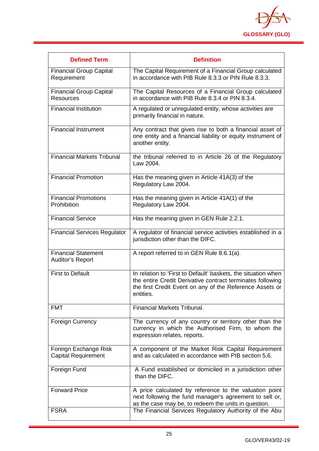

| <b>Defined Term</b>                                   | <b>Definition</b>                                                                                                                                                                                    |
|-------------------------------------------------------|------------------------------------------------------------------------------------------------------------------------------------------------------------------------------------------------------|
| <b>Financial Group Capital</b><br>Requirement         | The Capital Requirement of a Financial Group calculated<br>in accordance with PIB Rule 8.3.3 or PIN Rule 8.3.3.                                                                                      |
| <b>Financial Group Capital</b><br><b>Resources</b>    | The Capital Resources of a Financial Group calculated<br>in accordance with PIB Rule 8.3.4 or PIN 8.3.4.                                                                                             |
| <b>Financial Institution</b>                          | A regulated or unregulated entity, whose activities are<br>primarily financial in nature.                                                                                                            |
| <b>Financial Instrument</b>                           | Any contract that gives rise to both a financial asset of<br>one entity and a financial liability or equity instrument of<br>another entity.                                                         |
| <b>Financial Markets Tribunal</b>                     | the tribunal referred to in Article 26 of the Regulatory<br>Law 2004.                                                                                                                                |
| <b>Financial Promotion</b>                            | Has the meaning given in Article 41A(3) of the<br>Regulatory Law 2004.                                                                                                                               |
| <b>Financial Promotions</b><br>Prohibition            | Has the meaning given in Article 41A(1) of the<br>Regulatory Law 2004.                                                                                                                               |
| <b>Financial Service</b>                              | Has the meaning given in GEN Rule 2.2.1.                                                                                                                                                             |
| <b>Financial Services Regulator</b>                   | A regulator of financial service activities established in a<br>jurisdiction other than the DIFC.                                                                                                    |
| <b>Financial Statement</b><br><b>Auditor's Report</b> | A report referred to in GEN Rule 8.6.1(a).                                                                                                                                                           |
| <b>First to Default</b>                               | In relation to 'First to Default' baskets, the situation when<br>the entire Credit Derivative contract terminates following<br>the first Credit Event on any of the Reference Assets or<br>entities. |
| <b>FMT</b>                                            | <b>Financial Markets Tribunal.</b>                                                                                                                                                                   |
| <b>Foreign Currency</b>                               | The currency of any country or territory other than the<br>currency in which the Authorised Firm, to whom the<br>expression relates, reports.                                                        |
| Foreign Exchange Risk<br><b>Capital Requirement</b>   | A component of the Market Risk Capital Requirement<br>and as calculated in accordance with PIB section 5.6.                                                                                          |
| Foreign Fund                                          | A Fund established or domiciled in a jurisdiction other<br>than the DIFC.                                                                                                                            |
| <b>Forward Price</b>                                  | A price calculated by reference to the valuation point<br>next following the fund manager's agreement to sell or,<br>as the case may be, to redeem the units in question.                            |
| <b>FSRA</b>                                           | The Financial Services Regulatory Authority of the Abu                                                                                                                                               |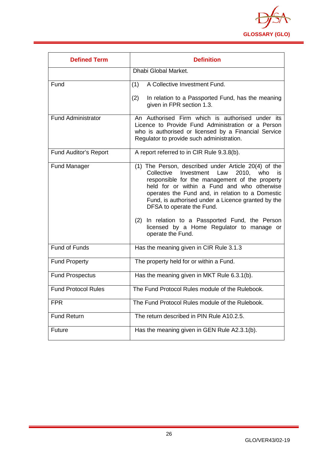

<span id="page-26-0"></span>

| <b>Defined Term</b>        | <b>Definition</b>                                                                                                                                                                                                                                                                                                                                                                                                                                                     |
|----------------------------|-----------------------------------------------------------------------------------------------------------------------------------------------------------------------------------------------------------------------------------------------------------------------------------------------------------------------------------------------------------------------------------------------------------------------------------------------------------------------|
|                            | Dhabi Global Market.                                                                                                                                                                                                                                                                                                                                                                                                                                                  |
| Fund                       | A Collective Investment Fund.<br>(1)                                                                                                                                                                                                                                                                                                                                                                                                                                  |
|                            | (2)<br>In relation to a Passported Fund, has the meaning<br>given in FPR section 1.3.                                                                                                                                                                                                                                                                                                                                                                                 |
| <b>Fund Administrator</b>  | An Authorised Firm which is authorised under its<br>Licence to Provide Fund Administration or a Person<br>who is authorised or licensed by a Financial Service<br>Regulator to provide such administration.                                                                                                                                                                                                                                                           |
| Fund Auditor's Report      | A report referred to in CIR Rule 9.3.8(b).                                                                                                                                                                                                                                                                                                                                                                                                                            |
| <b>Fund Manager</b>        | (1) The Person, described under Article 20(4) of the<br>Collective<br>Investment Law<br>2010, who<br>is<br>responsible for the management of the property<br>held for or within a Fund and who otherwise<br>operates the Fund and, in relation to a Domestic<br>Fund, is authorised under a Licence granted by the<br>DFSA to operate the Fund.<br>(2) In relation to a Passported Fund, the Person<br>licensed by a Home Regulator to manage or<br>operate the Fund. |
| <b>Fund of Funds</b>       | Has the meaning given in CIR Rule 3.1.3                                                                                                                                                                                                                                                                                                                                                                                                                               |
| <b>Fund Property</b>       | The property held for or within a Fund.                                                                                                                                                                                                                                                                                                                                                                                                                               |
| <b>Fund Prospectus</b>     | Has the meaning given in MKT Rule 6.3.1(b).                                                                                                                                                                                                                                                                                                                                                                                                                           |
| <b>Fund Protocol Rules</b> | The Fund Protocol Rules module of the Rulebook.                                                                                                                                                                                                                                                                                                                                                                                                                       |
| <b>FPR</b>                 | The Fund Protocol Rules module of the Rulebook.                                                                                                                                                                                                                                                                                                                                                                                                                       |
| <b>Fund Return</b>         | The return described in PIN Rule A10.2.5.                                                                                                                                                                                                                                                                                                                                                                                                                             |
| Future                     | Has the meaning given in GEN Rule A2.3.1(b).                                                                                                                                                                                                                                                                                                                                                                                                                          |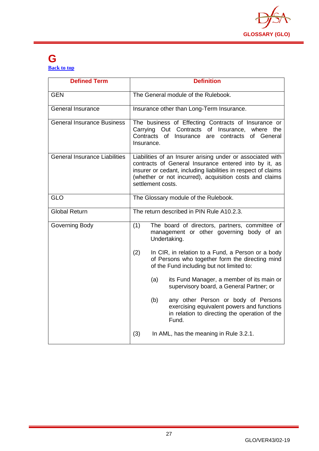

# **G [Back to top](#page-1-0)**

| <b>Defined Term</b>                  | <b>Definition</b>                                                                                                                                                                                                                                                    |
|--------------------------------------|----------------------------------------------------------------------------------------------------------------------------------------------------------------------------------------------------------------------------------------------------------------------|
| <b>GEN</b>                           | The General module of the Rulebook.                                                                                                                                                                                                                                  |
| <b>General Insurance</b>             | Insurance other than Long-Term Insurance.                                                                                                                                                                                                                            |
| <b>General Insurance Business</b>    | The business of Effecting Contracts of Insurance or<br>Carrying Out Contracts of<br>Insurance,<br>where the<br>Contracts<br>of Insurance<br>of General<br>are<br>contracts<br>Insurance.                                                                             |
| <b>General Insurance Liabilities</b> | Liabilities of an Insurer arising under or associated with<br>contracts of General Insurance entered into by it, as<br>insurer or cedant, including liabilities in respect of claims<br>(whether or not incurred), acquisition costs and claims<br>settlement costs. |
| <b>GLO</b>                           | The Glossary module of the Rulebook.                                                                                                                                                                                                                                 |
| <b>Global Return</b>                 | The return described in PIN Rule A10.2.3.                                                                                                                                                                                                                            |
| Governing Body                       | (1)<br>The board of directors, partners, committee of<br>management or other governing body of an<br>Undertaking.                                                                                                                                                    |
|                                      | (2)<br>In CIR, in relation to a Fund, a Person or a body<br>of Persons who together form the directing mind<br>of the Fund including but not limited to:                                                                                                             |
|                                      | (a)<br>its Fund Manager, a member of its main or<br>supervisory board, a General Partner; or                                                                                                                                                                         |
|                                      | (b)<br>any other Person or body of Persons<br>exercising equivalent powers and functions<br>in relation to directing the operation of the<br>Fund.                                                                                                                   |
|                                      | (3)<br>In AML, has the meaning in Rule 3.2.1.                                                                                                                                                                                                                        |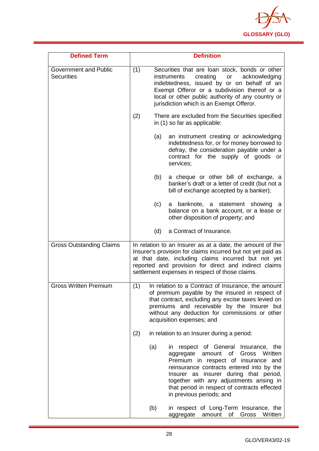

| <b>Defined Term</b>                               |     | <b>Definition</b>                                                                                                                                                                                                                                                                                                                        |
|---------------------------------------------------|-----|------------------------------------------------------------------------------------------------------------------------------------------------------------------------------------------------------------------------------------------------------------------------------------------------------------------------------------------|
| <b>Government and Public</b><br><b>Securities</b> | (1) | Securities that are loan stock, bonds or other<br>creating<br>acknowledging<br>instruments<br>or<br>indebtedness, issued by or on behalf of an<br>Exempt Offeror or a subdivision thereof or a<br>local or other public authority of any country or<br>jurisdiction which is an Exempt Offeror.                                          |
|                                                   | (2) | There are excluded from the Securities specified<br>in (1) so far as applicable:                                                                                                                                                                                                                                                         |
|                                                   | (a) | an instrument creating or acknowledging<br>indebtedness for, or for money borrowed to<br>defray, the consideration payable under a<br>contract for the supply of goods or<br>services;                                                                                                                                                   |
|                                                   | (b) | a cheque or other bill of exchange, a<br>banker's draft or a letter of credit (but not a<br>bill of exchange accepted by a banker);                                                                                                                                                                                                      |
|                                                   | (c) | a banknote, a statement showing<br>а<br>balance on a bank account, or a lease or<br>other disposition of property; and                                                                                                                                                                                                                   |
|                                                   | (d) | a Contract of Insurance.                                                                                                                                                                                                                                                                                                                 |
| <b>Gross Outstanding Claims</b>                   |     | In relation to an Insurer as at a date, the amount of the<br>Insurer's provision for claims incurred but not yet paid as<br>at that date, including claims incurred but not yet<br>reported and provision for direct and indirect claims<br>settlement expenses in respect of those claims.                                              |
| <b>Gross Written Premium</b>                      | (1) | In relation to a Contract of Insurance, the amount<br>of premium payable by the insured in respect of<br>that contract, excluding any excise taxes levied on<br>premiums and receivable by the Insurer but<br>without any deduction for commissions or other<br>acquisition expenses; and                                                |
|                                                   | (2) | in relation to an Insurer during a period:                                                                                                                                                                                                                                                                                               |
|                                                   | (a) | in respect of General Insurance, the<br>Gross Written<br>aggregate<br>amount<br>of<br>Premium in respect of insurance and<br>reinsurance contracts entered into by the<br>Insurer as insurer during that period,<br>together with any adjustments arising in<br>that period in respect of contracts effected<br>in previous periods; and |
|                                                   | (b) | in respect of Long-Term Insurance, the<br>Gross<br>Written<br>aggregate<br>amount<br>of                                                                                                                                                                                                                                                  |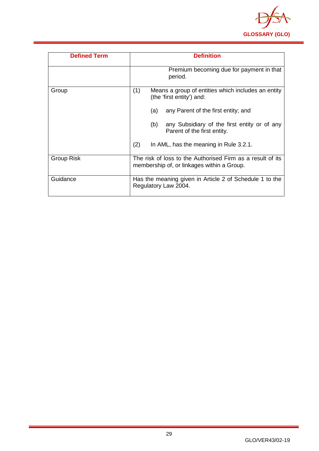

| <b>Defined Term</b> | <b>Definition</b>                                                                                        |
|---------------------|----------------------------------------------------------------------------------------------------------|
|                     | Premium becoming due for payment in that<br>period.                                                      |
| Group               | (1)<br>Means a group of entities which includes an entity<br>(the 'first entity') and:                   |
|                     | any Parent of the first entity; and<br>(a)                                                               |
|                     | (b)<br>any Subsidiary of the first entity or of any<br>Parent of the first entity.                       |
|                     | (2)<br>In AML, has the meaning in Rule 3.2.1.                                                            |
| Group Risk          | The risk of loss to the Authorised Firm as a result of its<br>membership of, or linkages within a Group. |
| Guidance            | Has the meaning given in Article 2 of Schedule 1 to the<br>Regulatory Law 2004.                          |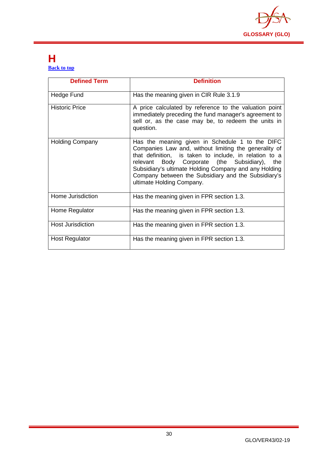

# <span id="page-30-0"></span>**H [Back to top](#page-1-0)**

| <b>Defined Term</b>      | <b>Definition</b>                                                                                                                                                                                                                                                                                                                                                      |
|--------------------------|------------------------------------------------------------------------------------------------------------------------------------------------------------------------------------------------------------------------------------------------------------------------------------------------------------------------------------------------------------------------|
| Hedge Fund               | Has the meaning given in CIR Rule 3.1.9                                                                                                                                                                                                                                                                                                                                |
| <b>Historic Price</b>    | A price calculated by reference to the valuation point<br>immediately preceding the fund manager's agreement to<br>sell or, as the case may be, to redeem the units in<br>question.                                                                                                                                                                                    |
| <b>Holding Company</b>   | Has the meaning given in Schedule 1 to the DIFC<br>Companies Law and, without limiting the generality of<br>that definition, is taken to include, in relation to a<br>Body Corporate (the Subsidiary),<br>relevant<br>the<br>Subsidiary's ultimate Holding Company and any Holding<br>Company between the Subsidiary and the Subsidiary's<br>ultimate Holding Company. |
| Home Jurisdiction        | Has the meaning given in FPR section 1.3.                                                                                                                                                                                                                                                                                                                              |
| Home Regulator           | Has the meaning given in FPR section 1.3.                                                                                                                                                                                                                                                                                                                              |
| <b>Host Jurisdiction</b> | Has the meaning given in FPR section 1.3.                                                                                                                                                                                                                                                                                                                              |
| <b>Host Regulator</b>    | Has the meaning given in FPR section 1.3.                                                                                                                                                                                                                                                                                                                              |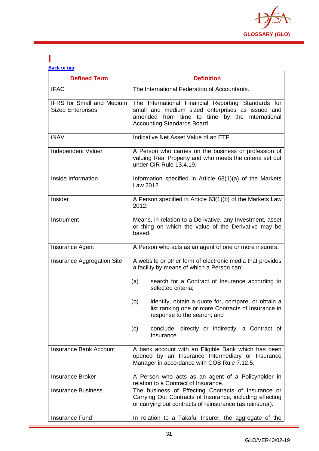

#### <span id="page-31-0"></span>**I [Back to top](#page-1-0)**

| <b>Defined Term</b>                                          | <b>Definition</b>                                                                                                                                                                        |
|--------------------------------------------------------------|------------------------------------------------------------------------------------------------------------------------------------------------------------------------------------------|
| <b>IFAC</b>                                                  | The International Federation of Accountants.                                                                                                                                             |
| <b>IFRS</b> for Small and Medium<br><b>Sized Enterprises</b> | The International Financial Reporting Standards for<br>small and medium sized enterprises as issued and<br>amended from time to time by the International<br>Accounting Standards Board. |
| <b>iNAV</b>                                                  | Indicative Net Asset Value of an ETF.                                                                                                                                                    |
| Independent Valuer                                           | A Person who carries on the business or profession of<br>valuing Real Property and who meets the criteria set out<br>under CIR Rule 13.4.19.                                             |
| Inside Information                                           | Information specified in Article 63(1)(a) of the Markets<br>Law 2012.                                                                                                                    |
| Insider                                                      | A Person specified in Article 63(1)(b) of the Markets Law<br>2012.                                                                                                                       |
| Instrument                                                   | Means, in relation to a Derivative, any Investment, asset<br>or thing on which the value of the Derivative may be<br>based.                                                              |
| <b>Insurance Agent</b>                                       | A Person who acts as an agent of one or more insurers.                                                                                                                                   |
| Insurance Aggregation Site                                   | A website or other form of electronic media that provides<br>a facility by means of which a Person can:                                                                                  |
|                                                              | search for a Contract of Insurance according to<br>(a)<br>selected criteria;                                                                                                             |
|                                                              | (b)<br>identify, obtain a quote for, compare, or obtain a<br>list ranking one or more Contracts of Insurance in<br>response to the search; and                                           |
|                                                              | conclude, directly or indirectly, a Contract of<br>(c)<br>Insurance.                                                                                                                     |
| <b>Insurance Bank Account</b>                                | A bank account with an Eligible Bank which has been<br>opened by an Insurance Intermediary or Insurance<br>Manager in accordance with COB Rule 7.12.5.                                   |
| <b>Insurance Broker</b>                                      | A Person who acts as an agent of a Policyholder in<br>relation to a Contract of Insurance.                                                                                               |
| <b>Insurance Business</b>                                    | The business of Effecting Contracts of Insurance or<br>Carrying Out Contracts of Insurance, including effecting<br>or carrying out contracts of reinsurance (as reinsurer).              |
| Insurance Fund                                               | In relation to a Takaful Insurer, the aggregate of the                                                                                                                                   |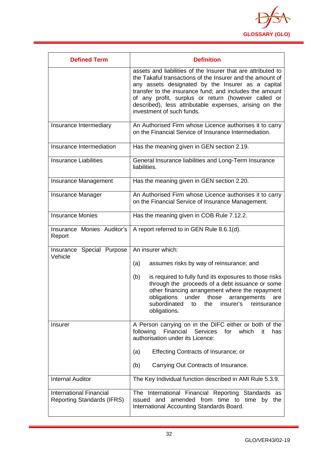

| <b>Defined Term</b>                                                 | <b>Definition</b>                                                                                                                                                                                                                                                                                                                                                                       |  |
|---------------------------------------------------------------------|-----------------------------------------------------------------------------------------------------------------------------------------------------------------------------------------------------------------------------------------------------------------------------------------------------------------------------------------------------------------------------------------|--|
|                                                                     | assets and liabilities of the Insurer that are attributed to<br>the Takaful transactions of the Insurer and the amount of<br>any assets designated by the Insurer as a capital<br>transfer to the insurance fund; and includes the amount<br>of any profit, surplus or return (however called or<br>described), less attributable expenses, arising on the<br>investment of such funds. |  |
| Insurance Intermediary                                              | An Authorised Firm whose Licence authorises it to carry<br>on the Financial Service of Insurance Intermediation.                                                                                                                                                                                                                                                                        |  |
| Insurance Intermediation                                            | Has the meaning given in GEN section 2.19.                                                                                                                                                                                                                                                                                                                                              |  |
| <b>Insurance Liabilities</b>                                        | General Insurance liabilities and Long-Term Insurance<br>liabilities.                                                                                                                                                                                                                                                                                                                   |  |
| Insurance Management                                                | Has the meaning given in GEN section 2.20.                                                                                                                                                                                                                                                                                                                                              |  |
| <b>Insurance Manager</b>                                            | An Authorised Firm whose Licence authorises it to carry<br>on the Financial Service of Insurance Management.                                                                                                                                                                                                                                                                            |  |
| <b>Insurance Monies</b>                                             | Has the meaning given in COB Rule 7.12.2.                                                                                                                                                                                                                                                                                                                                               |  |
| Insurance Monies Auditor's<br>Report                                | A report referred to in GEN Rule 8.6.1(d).                                                                                                                                                                                                                                                                                                                                              |  |
| Insurance Special Purpose<br>Vehicle                                | An insurer which:                                                                                                                                                                                                                                                                                                                                                                       |  |
|                                                                     | assumes risks by way of reinsurance; and<br>(a)                                                                                                                                                                                                                                                                                                                                         |  |
|                                                                     | (b)<br>is required to fully fund its exposures to those risks<br>through the proceeds of a debt issuance or some<br>other financing arrangement where the repayment<br>obligations under those<br>arrangements<br>are<br>subordinated<br>to<br>the<br>insurer's<br>reinsurance<br>obligations.                                                                                          |  |
| Insurer                                                             | A Person carrying on in the DIFC either or both of the<br>following Financial Services for which<br>it.<br>has<br>authorisation under its Licence:                                                                                                                                                                                                                                      |  |
|                                                                     | Effecting Contracts of Insurance; or<br>(a)                                                                                                                                                                                                                                                                                                                                             |  |
|                                                                     | Carrying Out Contracts of Insurance.<br>(b)                                                                                                                                                                                                                                                                                                                                             |  |
| <b>Internal Auditor</b>                                             | The Key Individual function described in AMI Rule 5.3.9.                                                                                                                                                                                                                                                                                                                                |  |
| <b>International Financial</b><br><b>Reporting Standards (IFRS)</b> | The International Financial Reporting Standards as<br>issued and amended from time to time by the<br>International Accounting Standards Board.                                                                                                                                                                                                                                          |  |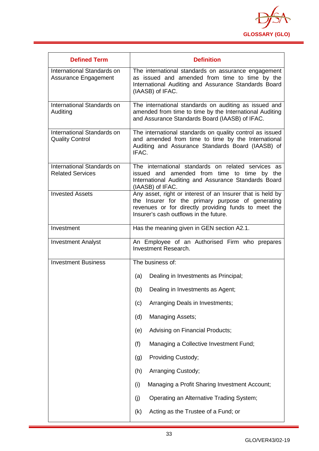

| <b>Defined Term</b>                                   | <b>Definition</b>                                                                                                                                                                                                 |
|-------------------------------------------------------|-------------------------------------------------------------------------------------------------------------------------------------------------------------------------------------------------------------------|
| International Standards on<br>Assurance Engagement    | The international standards on assurance engagement<br>as issued and amended from time to time by the<br>International Auditing and Assurance Standards Board<br>(IAASB) of IFAC.                                 |
| International Standards on<br>Auditing                | The international standards on auditing as issued and<br>amended from time to time by the International Auditing<br>and Assurance Standards Board (IAASB) of IFAC.                                                |
| International Standards on<br><b>Quality Control</b>  | The international standards on quality control as issued<br>and amended from time to time by the International<br>Auditing and Assurance Standards Board (IAASB) of<br>IFAC.                                      |
| International Standards on<br><b>Related Services</b> | The international standards on related services as<br>issued and amended from time to time by the<br>International Auditing and Assurance Standards Board<br>(IAASB) of IFAC.                                     |
| <b>Invested Assets</b>                                | Any asset, right or interest of an Insurer that is held by<br>the Insurer for the primary purpose of generating<br>revenues or for directly providing funds to meet the<br>Insurer's cash outflows in the future. |
| Investment                                            | Has the meaning given in GEN section A2.1.                                                                                                                                                                        |
| <b>Investment Analyst</b>                             | An Employee of an Authorised Firm who prepares<br>Investment Research.                                                                                                                                            |
| <b>Investment Business</b>                            | The business of:                                                                                                                                                                                                  |
|                                                       | Dealing in Investments as Principal;<br>(a)                                                                                                                                                                       |
|                                                       | Dealing in Investments as Agent;<br>(b)                                                                                                                                                                           |
|                                                       | Arranging Deals in Investments;<br>(c)                                                                                                                                                                            |
|                                                       | <b>Managing Assets;</b><br>(d)                                                                                                                                                                                    |
|                                                       | Advising on Financial Products;<br>(e)                                                                                                                                                                            |
|                                                       | Managing a Collective Investment Fund;<br>(f)                                                                                                                                                                     |
|                                                       | Providing Custody;<br>(g)                                                                                                                                                                                         |
|                                                       | (h)<br>Arranging Custody;                                                                                                                                                                                         |
|                                                       | (i)<br>Managing a Profit Sharing Investment Account;                                                                                                                                                              |
|                                                       | (j)<br>Operating an Alternative Trading System;                                                                                                                                                                   |
|                                                       | Acting as the Trustee of a Fund; or<br>(k)                                                                                                                                                                        |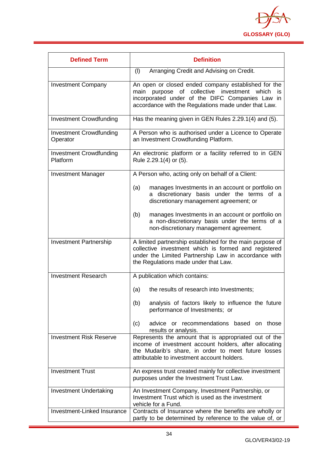

| <b>Defined Term</b>                        | <b>Definition</b>                                                                                                                                                                                                                |
|--------------------------------------------|----------------------------------------------------------------------------------------------------------------------------------------------------------------------------------------------------------------------------------|
|                                            | (1)<br>Arranging Credit and Advising on Credit.                                                                                                                                                                                  |
| <b>Investment Company</b>                  | An open or closed ended company established for the<br>collective investment<br>main<br>purpose<br>of<br>which<br>is.<br>incorporated under of the DIFC Companies Law in<br>accordance with the Regulations made under that Law. |
| <b>Investment Crowdfunding</b>             | Has the meaning given in GEN Rules 2.29.1(4) and (5).                                                                                                                                                                            |
| <b>Investment Crowdfunding</b><br>Operator | A Person who is authorised under a Licence to Operate<br>an Investment Crowdfunding Platform.                                                                                                                                    |
| <b>Investment Crowdfunding</b><br>Platform | An electronic platform or a facility referred to in GEN<br>Rule 2.29.1(4) or (5).                                                                                                                                                |
| <b>Investment Manager</b>                  | A Person who, acting only on behalf of a Client:                                                                                                                                                                                 |
|                                            | (a)<br>manages Investments in an account or portfolio on<br>discretionary basis under the terms of a<br>a<br>discretionary management agreement; or                                                                              |
|                                            | manages Investments in an account or portfolio on<br>(b)<br>a non-discretionary basis under the terms of a<br>non-discretionary management agreement.                                                                            |
| <b>Investment Partnership</b>              | A limited partnership established for the main purpose of<br>collective investment which is formed and registered<br>under the Limited Partnership Law in accordance with<br>the Regulations made under that Law.                |
| <b>Investment Research</b>                 | A publication which contains:                                                                                                                                                                                                    |
|                                            | (a)<br>the results of research into Investments;                                                                                                                                                                                 |
|                                            | analysis of factors likely to influence the future<br>(b)<br>performance of Investments; or                                                                                                                                      |
|                                            | advice or recommendations based on those<br>(c)<br>results or analysis.                                                                                                                                                          |
| <b>Investment Risk Reserve</b>             | Represents the amount that is appropriated out of the<br>income of investment account holders, after allocating<br>the Mudarib's share, in order to meet future losses<br>attributable to investment account holders.            |
| <b>Investment Trust</b>                    | An express trust created mainly for collective investment<br>purposes under the Investment Trust Law.                                                                                                                            |
| <b>Investment Undertaking</b>              | An Investment Company, Investment Partnership, or<br>Investment Trust which is used as the investment<br>vehicle for a Fund.                                                                                                     |
| Investment-Linked Insurance                | Contracts of Insurance where the benefits are wholly or<br>partly to be determined by reference to the value of, or                                                                                                              |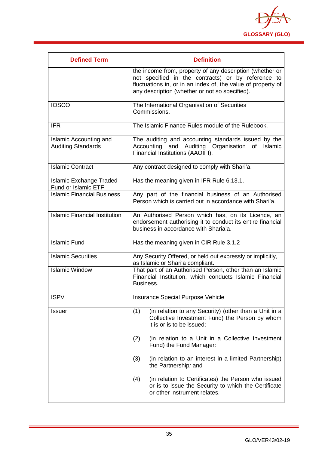

<span id="page-35-0"></span>

| <b>Defined Term</b>                                        | <b>Definition</b>                                                                                                                                                                                                                |
|------------------------------------------------------------|----------------------------------------------------------------------------------------------------------------------------------------------------------------------------------------------------------------------------------|
|                                                            | the income from, property of any description (whether or<br>not specified in the contracts) or by reference to<br>fluctuations in, or in an index of, the value of property of<br>any description (whether or not so specified). |
| <b>IOSCO</b>                                               | The International Organisation of Securities<br>Commissions.                                                                                                                                                                     |
| <b>IFR</b>                                                 | The Islamic Finance Rules module of the Rulebook.                                                                                                                                                                                |
| <b>Islamic Accounting and</b><br><b>Auditing Standards</b> | The auditing and accounting standards issued by the<br>Accounting and Auditing Organisation of<br>Islamic<br>Financial Institutions (AAOIFI).                                                                                    |
| <b>Islamic Contract</b>                                    | Any contract designed to comply with Shari'a.                                                                                                                                                                                    |
| <b>Islamic Exchange Traded</b><br>Fund or Islamic ETF      | Has the meaning given in IFR Rule 6.13.1.                                                                                                                                                                                        |
| <b>Islamic Financial Business</b>                          | Any part of the financial business of an Authorised<br>Person which is carried out in accordance with Shari'a.                                                                                                                   |
| <b>Islamic Financial Institution</b>                       | An Authorised Person which has, on its Licence, an<br>endorsement authorising it to conduct its entire financial<br>business in accordance with Sharia'a.                                                                        |
| <b>Islamic Fund</b>                                        | Has the meaning given in CIR Rule 3.1.2                                                                                                                                                                                          |
| <b>Islamic Securities</b>                                  | Any Security Offered, or held out expressly or implicitly,<br>as Islamic or Shari'a compliant.                                                                                                                                   |
| <b>Islamic Window</b>                                      | That part of an Authorised Person, other than an Islamic<br>Financial Institution, which conducts Islamic Financial<br>Business.                                                                                                 |
| <b>ISPV</b>                                                | <b>Insurance Special Purpose Vehicle</b>                                                                                                                                                                                         |
| <b>Issuer</b>                                              | (in relation to any Security) (other than a Unit in a<br>(1)<br>Collective Investment Fund) the Person by whom<br>it is or is to be issued;                                                                                      |
|                                                            | (in relation to a Unit in a Collective Investment<br>(2)<br>Fund) the Fund Manager;                                                                                                                                              |
|                                                            | (3)<br>(in relation to an interest in a limited Partnership)<br>the Partnership; and                                                                                                                                             |
|                                                            | (4)<br>(in relation to Certificates) the Person who issued<br>or is to issue the Security to which the Certificate<br>or other instrument relates.                                                                               |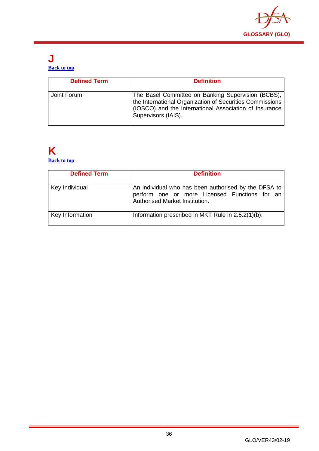

### **J [Back to top](#page-1-0)**

| <b>Defined Term</b> | <b>Definition</b>                                                                                                                                                                               |
|---------------------|-------------------------------------------------------------------------------------------------------------------------------------------------------------------------------------------------|
| Joint Forum         | The Basel Committee on Banking Supervision (BCBS),<br>the International Organization of Securities Commissions<br>(IOSCO) and the International Association of Insurance<br>Supervisors (IAIS). |

### <span id="page-36-0"></span>**K [Back to top](#page-1-0)**

| <b>Defined Term</b> | <b>Definition</b>                                                                                                                       |
|---------------------|-----------------------------------------------------------------------------------------------------------------------------------------|
| Key Individual      | An individual who has been authorised by the DFSA to<br>perform one or more Licensed Functions for an<br>Authorised Market Institution. |
| Key Information     | Information prescribed in MKT Rule in 2.5.2(1)(b).                                                                                      |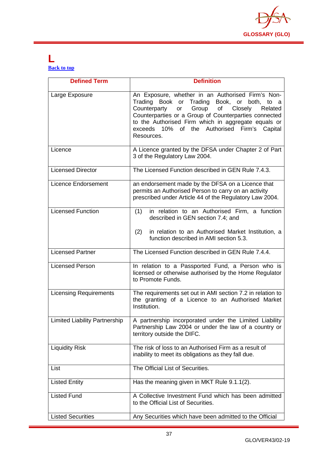

# <span id="page-37-0"></span>**L [Back to top](#page-1-0)**

| <b>Defined Term</b>                  | <b>Definition</b>                                                                                                                                                                                                                                                                                                                |
|--------------------------------------|----------------------------------------------------------------------------------------------------------------------------------------------------------------------------------------------------------------------------------------------------------------------------------------------------------------------------------|
| Large Exposure                       | An Exposure, whether in an Authorised Firm's Non-<br>Trading Book or Trading Book, or both, to a<br>or Group of Closely<br>Counterparty<br>Related<br>Counterparties or a Group of Counterparties connected<br>to the Authorised Firm which in aggregate equals or<br>exceeds 10% of the Authorised Firm's Capital<br>Resources. |
| Licence                              | A Licence granted by the DFSA under Chapter 2 of Part<br>3 of the Regulatory Law 2004.                                                                                                                                                                                                                                           |
| <b>Licensed Director</b>             | The Licensed Function described in GEN Rule 7.4.3.                                                                                                                                                                                                                                                                               |
| <b>Licence Endorsement</b>           | an endorsement made by the DFSA on a Licence that<br>permits an Authorised Person to carry on an activity<br>prescribed under Article 44 of the Regulatory Law 2004.                                                                                                                                                             |
| <b>Licensed Function</b>             | in relation to an Authorised Firm, a function<br>(1)<br>described in GEN section 7.4; and<br>(2)<br>in relation to an Authorised Market Institution, a<br>function described in AMI section 5.3.                                                                                                                                 |
| <b>Licensed Partner</b>              | The Licensed Function described in GEN Rule 7.4.4.                                                                                                                                                                                                                                                                               |
| <b>Licensed Person</b>               | In relation to a Passported Fund, a Person who is<br>licensed or otherwise authorised by the Home Regulator<br>to Promote Funds.                                                                                                                                                                                                 |
| <b>Licensing Requirements</b>        | The requirements set out in AMI section 7.2 in relation to<br>the granting of a Licence to an Authorised Market<br>Institution.                                                                                                                                                                                                  |
| <b>Limited Liability Partnership</b> | A partnership incorporated under the Limited Liability<br>Partnership Law 2004 or under the law of a country or<br>territory outside the DIFC.                                                                                                                                                                                   |
| <b>Liquidity Risk</b>                | The risk of loss to an Authorised Firm as a result of<br>inability to meet its obligations as they fall due.                                                                                                                                                                                                                     |
| List                                 | The Official List of Securities.                                                                                                                                                                                                                                                                                                 |
| <b>Listed Entity</b>                 | Has the meaning given in MKT Rule 9.1.1(2).                                                                                                                                                                                                                                                                                      |
| <b>Listed Fund</b>                   | A Collective Investment Fund which has been admitted<br>to the Official List of Securities.                                                                                                                                                                                                                                      |
| <b>Listed Securities</b>             | Any Securities which have been admitted to the Official                                                                                                                                                                                                                                                                          |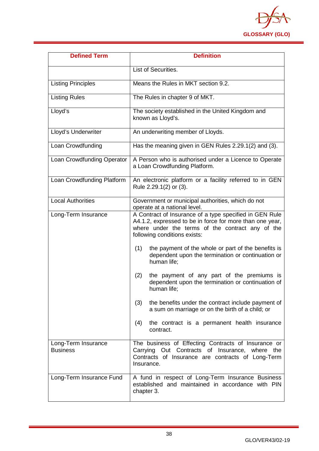

| <b>Defined Term</b>                    | <b>Definition</b>                                                                                                                                                                                       |  |  |
|----------------------------------------|---------------------------------------------------------------------------------------------------------------------------------------------------------------------------------------------------------|--|--|
|                                        | List of Securities.                                                                                                                                                                                     |  |  |
| <b>Listing Principles</b>              | Means the Rules in MKT section 9.2.                                                                                                                                                                     |  |  |
| <b>Listing Rules</b>                   | The Rules in chapter 9 of MKT.                                                                                                                                                                          |  |  |
| Lloyd's                                | The society established in the United Kingdom and<br>known as Lloyd's.                                                                                                                                  |  |  |
| Lloyd's Underwriter                    | An underwriting member of Lloyds.                                                                                                                                                                       |  |  |
| Loan Crowdfunding                      | Has the meaning given in GEN Rules 2.29.1(2) and (3).                                                                                                                                                   |  |  |
| Loan Crowdfunding Operator             | A Person who is authorised under a Licence to Operate<br>a Loan Crowdfunding Platform.                                                                                                                  |  |  |
| Loan Crowdfunding Platform             | An electronic platform or a facility referred to in GEN<br>Rule 2.29.1(2) or (3).                                                                                                                       |  |  |
| <b>Local Authorities</b>               | Government or municipal authorities, which do not<br>operate at a national level.                                                                                                                       |  |  |
| Long-Term Insurance                    | A Contract of Insurance of a type specified in GEN Rule<br>A4.1.2, expressed to be in force for more than one year,<br>where under the terms of the contract any of the<br>following conditions exists: |  |  |
|                                        | the payment of the whole or part of the benefits is<br>(1)<br>dependent upon the termination or continuation or<br>human life;                                                                          |  |  |
|                                        | the payment of any part of the premiums is<br>(2)<br>dependent upon the termination or continuation of<br>human life;                                                                                   |  |  |
|                                        | the benefits under the contract include payment of<br>(3)<br>a sum on marriage or on the birth of a child; or                                                                                           |  |  |
|                                        | the contract is a permanent health insurance<br>(4)<br>contract.                                                                                                                                        |  |  |
| Long-Term Insurance<br><b>Business</b> | The business of Effecting Contracts of Insurance or<br>Carrying Out Contracts of Insurance, where<br>the<br>Contracts of Insurance are contracts of Long-Term<br>Insurance.                             |  |  |
| Long-Term Insurance Fund               | A fund in respect of Long-Term Insurance Business<br>established and maintained in accordance with PIN<br>chapter 3.                                                                                    |  |  |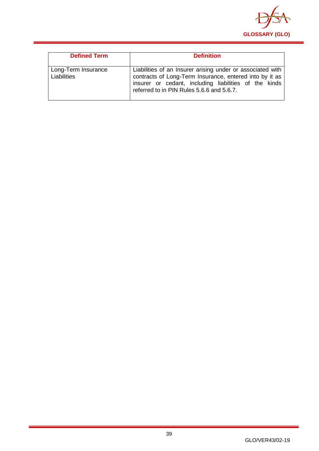

| <b>Defined Term</b>                | <b>Definition</b>                                                                                                                                                                                                           |
|------------------------------------|-----------------------------------------------------------------------------------------------------------------------------------------------------------------------------------------------------------------------------|
| Long-Term Insurance<br>Liabilities | Liabilities of an Insurer arising under or associated with<br>contracts of Long-Term Insurance, entered into by it as<br>insurer or cedant, including liabilities of the kinds<br>referred to in PIN Rules 5.6.6 and 5.6.7. |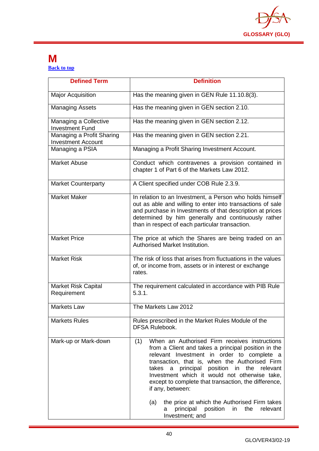

# <span id="page-40-0"></span>**M [Back to top](#page-1-0)**

| <b>Defined Term</b>                                    | <b>Definition</b>                                                                                                                                                                                                                                                                                                                                                                                                                                                                                                          |  |  |
|--------------------------------------------------------|----------------------------------------------------------------------------------------------------------------------------------------------------------------------------------------------------------------------------------------------------------------------------------------------------------------------------------------------------------------------------------------------------------------------------------------------------------------------------------------------------------------------------|--|--|
| <b>Major Acquisition</b>                               | Has the meaning given in GEN Rule 11.10.8(3).                                                                                                                                                                                                                                                                                                                                                                                                                                                                              |  |  |
| <b>Managing Assets</b>                                 | Has the meaning given in GEN section 2.10.                                                                                                                                                                                                                                                                                                                                                                                                                                                                                 |  |  |
| Managing a Collective<br><b>Investment Fund</b>        | Has the meaning given in GEN section 2.12.                                                                                                                                                                                                                                                                                                                                                                                                                                                                                 |  |  |
| Managing a Profit Sharing<br><b>Investment Account</b> | Has the meaning given in GEN section 2.21.                                                                                                                                                                                                                                                                                                                                                                                                                                                                                 |  |  |
| Managing a PSIA                                        | Managing a Profit Sharing Investment Account.                                                                                                                                                                                                                                                                                                                                                                                                                                                                              |  |  |
| <b>Market Abuse</b>                                    | Conduct which contravenes a provision contained in<br>chapter 1 of Part 6 of the Markets Law 2012.                                                                                                                                                                                                                                                                                                                                                                                                                         |  |  |
| <b>Market Counterparty</b>                             | A Client specified under COB Rule 2.3.9.                                                                                                                                                                                                                                                                                                                                                                                                                                                                                   |  |  |
| <b>Market Maker</b>                                    | In relation to an Investment, a Person who holds himself<br>out as able and willing to enter into transactions of sale<br>and purchase in Investments of that description at prices<br>determined by him generally and continuously rather<br>than in respect of each particular transaction.                                                                                                                                                                                                                              |  |  |
| <b>Market Price</b>                                    | The price at which the Shares are being traded on an<br>Authorised Market Institution.                                                                                                                                                                                                                                                                                                                                                                                                                                     |  |  |
| <b>Market Risk</b>                                     | The risk of loss that arises from fluctuations in the values<br>of, or income from, assets or in interest or exchange<br>rates.                                                                                                                                                                                                                                                                                                                                                                                            |  |  |
| Market Risk Capital<br>Requirement                     | The requirement calculated in accordance with PIB Rule<br>5.3.1.                                                                                                                                                                                                                                                                                                                                                                                                                                                           |  |  |
| <b>Markets Law</b>                                     | The Markets Law 2012                                                                                                                                                                                                                                                                                                                                                                                                                                                                                                       |  |  |
| <b>Markets Rules</b>                                   | Rules prescribed in the Market Rules Module of the<br><b>DFSA Rulebook.</b>                                                                                                                                                                                                                                                                                                                                                                                                                                                |  |  |
| Mark-up or Mark-down                                   | When an Authorised Firm receives instructions<br>(1)<br>from a Client and takes a principal position in the<br>relevant Investment in order to complete a<br>transaction, that is, when the Authorised Firm<br>a principal position in the relevant<br>takes<br>Investment which it would not otherwise take,<br>except to complete that transaction, the difference,<br>if any, between:<br>the price at which the Authorised Firm takes<br>(a)<br>position<br>principal<br>the<br>relevant<br>in<br>a<br>Investment; and |  |  |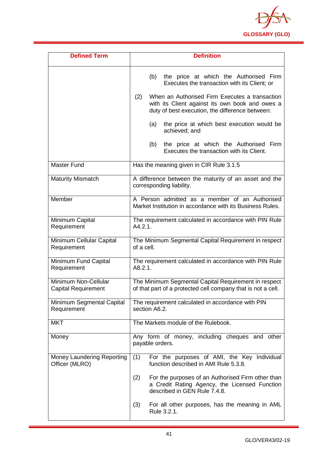

| <b>Defined Term</b>                                | <b>Definition</b>                                                                                                                                           |  |  |
|----------------------------------------------------|-------------------------------------------------------------------------------------------------------------------------------------------------------------|--|--|
|                                                    | the price at which the Authorised Firm<br>(b)<br>Executes the transaction with its Client; or                                                               |  |  |
|                                                    | When an Authorised Firm Executes a transaction<br>(2)<br>with its Client against its own book and owes a<br>duty of best execution, the difference between: |  |  |
|                                                    | the price at which best execution would be<br>(a)<br>achieved; and                                                                                          |  |  |
|                                                    | the price at which the Authorised Firm<br>(b)<br>Executes the transaction with its Client.                                                                  |  |  |
| Master Fund                                        | Has the meaning given in CIR Rule 3.1.5                                                                                                                     |  |  |
| <b>Maturity Mismatch</b>                           | A difference between the maturity of an asset and the<br>corresponding liability.                                                                           |  |  |
| Member                                             | A Person admitted as a member of an Authorised<br>Market Institution in accordance with its Business Rules.                                                 |  |  |
| Minimum Capital<br>Requirement                     | The requirement calculated in accordance with PIN Rule<br>A4.2.1.                                                                                           |  |  |
| Minimum Cellular Capital<br>Requirement            | The Minimum Segmental Capital Requirement in respect<br>of a cell.                                                                                          |  |  |
| Minimum Fund Capital<br>Requirement                | The requirement calculated in accordance with PIN Rule<br>A8.2.1.                                                                                           |  |  |
| Minimum Non-Cellular<br><b>Capital Requirement</b> | The Minimum Segmental Capital Requirement in respect<br>of that part of a protected cell company that is not a cell.                                        |  |  |
| Minimum Segmental Capital<br>Requirement           | The requirement calculated in accordance with PIN<br>section A6.2.                                                                                          |  |  |
| <b>MKT</b>                                         | The Markets module of the Rulebook.                                                                                                                         |  |  |
| Money                                              | Any form of money, including cheques and other<br>payable orders.                                                                                           |  |  |
| Money Laundering Reporting<br>Officer (MLRO)       | For the purposes of AMI, the Key Individual<br>(1)<br>function described in AMI Rule 5.3.8.                                                                 |  |  |
|                                                    | For the purposes of an Authorised Firm other than<br>(2)<br>a Credit Rating Agency, the Licensed Function<br>described in GEN Rule 7.4.8.                   |  |  |
|                                                    | For all other purposes, has the meaning in AML<br>(3)<br>Rule 3.2.1.                                                                                        |  |  |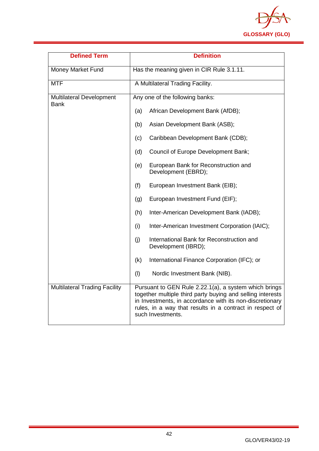

| <b>Defined Term</b>                            | <b>Definition</b>                                                                                                                                                                                                                                                |  |  |
|------------------------------------------------|------------------------------------------------------------------------------------------------------------------------------------------------------------------------------------------------------------------------------------------------------------------|--|--|
| Money Market Fund                              | Has the meaning given in CIR Rule 3.1.11.                                                                                                                                                                                                                        |  |  |
| <b>MTF</b>                                     | A Multilateral Trading Facility.                                                                                                                                                                                                                                 |  |  |
| <b>Multilateral Development</b><br><b>Bank</b> | Any one of the following banks:                                                                                                                                                                                                                                  |  |  |
|                                                | (a)<br>African Development Bank (AfDB);                                                                                                                                                                                                                          |  |  |
|                                                | Asian Development Bank (ASB);<br>(b)                                                                                                                                                                                                                             |  |  |
|                                                | Caribbean Development Bank (CDB);<br>(c)                                                                                                                                                                                                                         |  |  |
|                                                | Council of Europe Development Bank;<br>(d)                                                                                                                                                                                                                       |  |  |
|                                                | European Bank for Reconstruction and<br>(e)<br>Development (EBRD);                                                                                                                                                                                               |  |  |
|                                                | (f)<br>European Investment Bank (EIB);                                                                                                                                                                                                                           |  |  |
|                                                | European Investment Fund (EIF);<br>(g)                                                                                                                                                                                                                           |  |  |
|                                                | Inter-American Development Bank (IADB);<br>(h)                                                                                                                                                                                                                   |  |  |
|                                                | (i)<br>Inter-American Investment Corporation (IAIC);                                                                                                                                                                                                             |  |  |
|                                                | (j)<br>International Bank for Reconstruction and<br>Development (IBRD);                                                                                                                                                                                          |  |  |
|                                                | International Finance Corporation (IFC); or<br>(k)                                                                                                                                                                                                               |  |  |
|                                                | (1)<br>Nordic Investment Bank (NIB).                                                                                                                                                                                                                             |  |  |
| <b>Multilateral Trading Facility</b>           | Pursuant to GEN Rule 2.22.1(a), a system which brings<br>together multiple third party buying and selling interests<br>in Investments, in accordance with its non-discretionary<br>rules, in a way that results in a contract in respect of<br>such Investments. |  |  |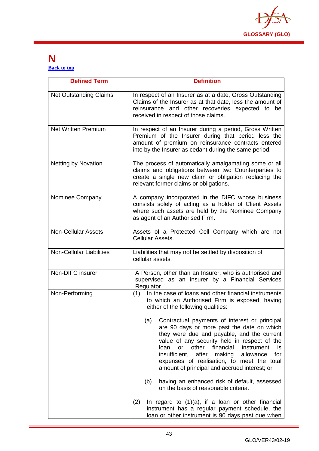

# <span id="page-43-0"></span>**N [Back to top](#page-1-0)**

| <b>Defined Term</b>             | <b>Definition</b>                                                                                                                                                                                                                                                                                                                                                                                        |  |  |
|---------------------------------|----------------------------------------------------------------------------------------------------------------------------------------------------------------------------------------------------------------------------------------------------------------------------------------------------------------------------------------------------------------------------------------------------------|--|--|
| <b>Net Outstanding Claims</b>   | In respect of an Insurer as at a date, Gross Outstanding<br>Claims of the Insurer as at that date, less the amount of<br>reinsurance and other recoveries expected to be<br>received in respect of those claims.                                                                                                                                                                                         |  |  |
| <b>Net Written Premium</b>      | In respect of an Insurer during a period, Gross Written<br>Premium of the Insurer during that period less the<br>amount of premium on reinsurance contracts entered<br>into by the Insurer as cedant during the same period.                                                                                                                                                                             |  |  |
| <b>Netting by Novation</b>      | The process of automatically amalgamating some or all<br>claims and obligations between two Counterparties to<br>create a single new claim or obligation replacing the<br>relevant former claims or obligations.                                                                                                                                                                                         |  |  |
| Nominee Company                 | A company incorporated in the DIFC whose business<br>consists solely of acting as a holder of Client Assets<br>where such assets are held by the Nominee Company<br>as agent of an Authorised Firm.                                                                                                                                                                                                      |  |  |
| <b>Non-Cellular Assets</b>      | Assets of a Protected Cell Company which are not<br>Cellular Assets.                                                                                                                                                                                                                                                                                                                                     |  |  |
| <b>Non-Cellular Liabilities</b> | Liabilities that may not be settled by disposition of<br>cellular assets.                                                                                                                                                                                                                                                                                                                                |  |  |
| Non-DIFC insurer                | A Person, other than an Insurer, who is authorised and<br>supervised as an insurer by a Financial Services<br>Regulator.                                                                                                                                                                                                                                                                                 |  |  |
| Non-Performing                  | (1) In the case of loans and other financial instruments<br>to which an Authorised Firm is exposed, having<br>either of the following qualities:                                                                                                                                                                                                                                                         |  |  |
|                                 | (a)<br>Contractual payments of interest or principal<br>are 90 days or more past the date on which<br>they were due and payable, and the current<br>value of any security held in respect of the<br>financial<br>loan<br>other<br>instrument<br>or<br>is<br>insufficient,<br>after making allowance<br>for<br>expenses of realisation, to meet the total<br>amount of principal and accrued interest; or |  |  |
|                                 | having an enhanced risk of default, assessed<br>(b)<br>on the basis of reasonable criteria.                                                                                                                                                                                                                                                                                                              |  |  |
|                                 | (2)<br>In regard to $(1)(a)$ , if a loan or other financial<br>instrument has a regular payment schedule, the<br>loan or other instrument is 90 days past due when                                                                                                                                                                                                                                       |  |  |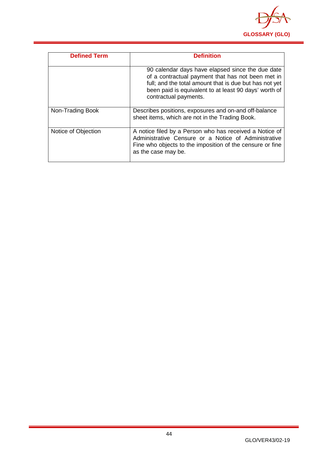

| <b>Defined Term</b> | <b>Definition</b>                                                                                                                                                                                                                                 |
|---------------------|---------------------------------------------------------------------------------------------------------------------------------------------------------------------------------------------------------------------------------------------------|
|                     | 90 calendar days have elapsed since the due date<br>of a contractual payment that has not been met in<br>full; and the total amount that is due but has not yet<br>been paid is equivalent to at least 90 days' worth of<br>contractual payments. |
| Non-Trading Book    | Describes positions, exposures and on-and off-balance<br>sheet items, which are not in the Trading Book.                                                                                                                                          |
| Notice of Objection | A notice filed by a Person who has received a Notice of<br>Administrative Censure or a Notice of Administrative<br>Fine who objects to the imposition of the censure or fine<br>as the case may be.                                               |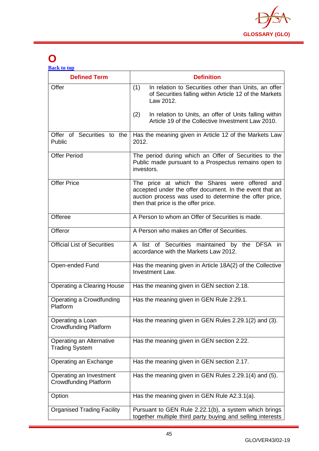

# <span id="page-45-0"></span>**O**

| <b>Back to top</b> |  |  |
|--------------------|--|--|
|                    |  |  |

| <b>Defined Term</b>                                     | <b>Definition</b>                                                                                                                                                                                          |  |  |
|---------------------------------------------------------|------------------------------------------------------------------------------------------------------------------------------------------------------------------------------------------------------------|--|--|
| Offer                                                   | (1)<br>In relation to Securities other than Units, an offer<br>of Securities falling within Article 12 of the Markets<br>Law 2012.                                                                         |  |  |
|                                                         | In relation to Units, an offer of Units falling within<br>(2)<br>Article 19 of the Collective Investment Law 2010.                                                                                         |  |  |
| Offer of Securities to the<br>Public                    | Has the meaning given in Article 12 of the Markets Law<br>2012.                                                                                                                                            |  |  |
| <b>Offer Period</b>                                     | The period during which an Offer of Securities to the<br>Public made pursuant to a Prospectus remains open to<br>investors.                                                                                |  |  |
| <b>Offer Price</b>                                      | The price at which the Shares were offered and<br>accepted under the offer document. In the event that an<br>auction process was used to determine the offer price,<br>then that price is the offer price. |  |  |
| Offeree                                                 | A Person to whom an Offer of Securities is made.                                                                                                                                                           |  |  |
| Offeror                                                 | A Person who makes an Offer of Securities.                                                                                                                                                                 |  |  |
| <b>Official List of Securities</b>                      | A list of Securities maintained by the DFSA in<br>accordance with the Markets Law 2012.                                                                                                                    |  |  |
| Open-ended Fund                                         | Has the meaning given in Article 18A(2) of the Collective<br>Investment Law.                                                                                                                               |  |  |
| <b>Operating a Clearing House</b>                       | Has the meaning given in GEN section 2.18.                                                                                                                                                                 |  |  |
| Operating a Crowdfunding<br>Platform                    | Has the meaning given in GEN Rule 2.29.1.                                                                                                                                                                  |  |  |
| Operating a Loan<br><b>Crowdfunding Platform</b>        | Has the meaning given in GEN Rules 2.29.1(2) and (3).                                                                                                                                                      |  |  |
| Operating an Alternative<br><b>Trading System</b>       | Has the meaning given in GEN section 2.22.                                                                                                                                                                 |  |  |
| Operating an Exchange                                   | Has the meaning given in GEN section 2.17.                                                                                                                                                                 |  |  |
| Operating an Investment<br><b>Crowdfunding Platform</b> | Has the meaning given in GEN Rules 2.29.1(4) and (5).                                                                                                                                                      |  |  |
| Option                                                  | Has the meaning given in GEN Rule A2.3.1(a).                                                                                                                                                               |  |  |
| <b>Organised Trading Facility</b>                       | Pursuant to GEN Rule 2.22.1(b), a system which brings<br>together multiple third party buying and selling interests                                                                                        |  |  |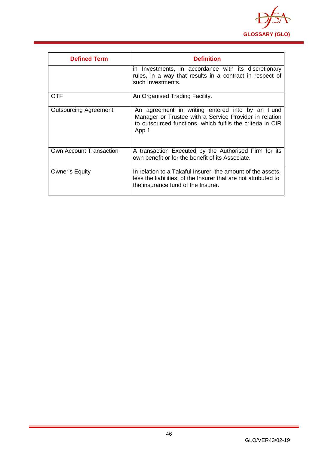

| <b>Defined Term</b>          | <b>Definition</b>                                                                                                                                                                 |
|------------------------------|-----------------------------------------------------------------------------------------------------------------------------------------------------------------------------------|
|                              | in Investments, in accordance with its discretionary<br>rules, in a way that results in a contract in respect of<br>such Investments.                                             |
| OTF                          | An Organised Trading Facility.                                                                                                                                                    |
| <b>Outsourcing Agreement</b> | An agreement in writing entered into by an Fund<br>Manager or Trustee with a Service Provider in relation<br>to outsourced functions, which fulfils the criteria in CIR<br>App 1. |
| Own Account Transaction      | A transaction Executed by the Authorised Firm for its<br>own benefit or for the benefit of its Associate.                                                                         |
| <b>Owner's Equity</b>        | In relation to a Takaful Insurer, the amount of the assets,<br>less the liabilities, of the Insurer that are not attributed to<br>the insurance fund of the Insurer.              |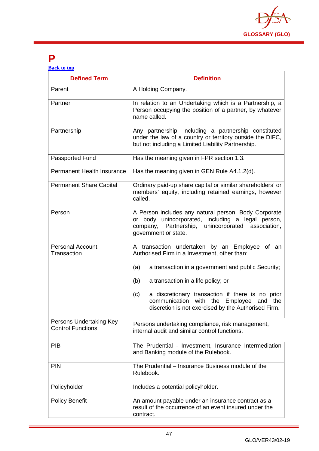

# <span id="page-47-0"></span>**P**

| <b>Back to top</b> |  |  |
|--------------------|--|--|
|                    |  |  |

| <b>Defined Term</b>                                 | <b>Definition</b>                                                                                                                                                                               |
|-----------------------------------------------------|-------------------------------------------------------------------------------------------------------------------------------------------------------------------------------------------------|
| Parent                                              | A Holding Company.                                                                                                                                                                              |
| Partner                                             | In relation to an Undertaking which is a Partnership, a<br>Person occupying the position of a partner, by whatever<br>name called.                                                              |
| Partnership                                         | Any partnership, including a partnership constituted<br>under the law of a country or territory outside the DIFC,<br>but not including a Limited Liability Partnership.                         |
| Passported Fund                                     | Has the meaning given in FPR section 1.3.                                                                                                                                                       |
| <b>Permanent Health Insurance</b>                   | Has the meaning given in GEN Rule A4.1.2(d).                                                                                                                                                    |
| <b>Permanent Share Capital</b>                      | Ordinary paid-up share capital or similar shareholders' or<br>members' equity, including retained earnings, however<br>called.                                                                  |
| Person                                              | A Person includes any natural person, Body Corporate<br>or body unincorporated, including a legal person,<br>Partnership,<br>unincorporated<br>association,<br>company,<br>government or state. |
| <b>Personal Account</b><br>Transaction              | A transaction undertaken by an Employee of an<br>Authorised Firm in a Investment, other than:                                                                                                   |
|                                                     | (a)<br>a transaction in a government and public Security;                                                                                                                                       |
|                                                     | (b)<br>a transaction in a life policy; or                                                                                                                                                       |
|                                                     | a discretionary transaction if there is no prior<br>(c)<br>communication<br>with the Employee and the<br>discretion is not exercised by the Authorised Firm.                                    |
| Persons Undertaking Key<br><b>Control Functions</b> | Persons undertaking compliance, risk management,<br>internal audit and similar control functions.                                                                                               |
| <b>PIB</b>                                          | The Prudential - Investment, Insurance Intermediation<br>and Banking module of the Rulebook.                                                                                                    |
| <b>PIN</b>                                          | The Prudential – Insurance Business module of the<br>Rulebook.                                                                                                                                  |
| Policyholder                                        | Includes a potential policyholder.                                                                                                                                                              |
| <b>Policy Benefit</b>                               | An amount payable under an insurance contract as a<br>result of the occurrence of an event insured under the<br>contract.                                                                       |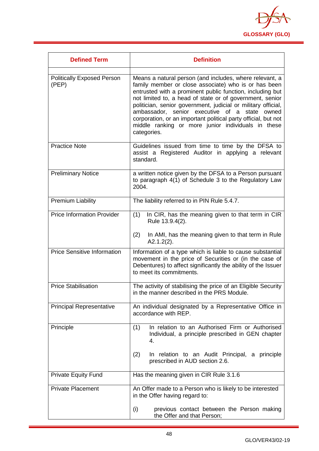

| <b>Defined Term</b>                        | <b>Definition</b>                                                                                                                                                                                                                                                                                                                                                                                                                                                                                 |
|--------------------------------------------|---------------------------------------------------------------------------------------------------------------------------------------------------------------------------------------------------------------------------------------------------------------------------------------------------------------------------------------------------------------------------------------------------------------------------------------------------------------------------------------------------|
| <b>Politically Exposed Person</b><br>(PEP) | Means a natural person (and includes, where relevant, a<br>family member or close associate) who is or has been<br>entrusted with a prominent public function, including but<br>not limited to, a head of state or of government, senior<br>politician, senior government, judicial or military official,<br>ambassador, senior executive of a state owned<br>corporation, or an important political party official, but not<br>middle ranking or more junior individuals in these<br>categories. |
| <b>Practice Note</b>                       | Guidelines issued from time to time by the DFSA to<br>assist a Registered Auditor in applying a relevant<br>standard.                                                                                                                                                                                                                                                                                                                                                                             |
| <b>Preliminary Notice</b>                  | a written notice given by the DFSA to a Person pursuant<br>to paragraph 4(1) of Schedule 3 to the Regulatory Law<br>2004.                                                                                                                                                                                                                                                                                                                                                                         |
| <b>Premium Liability</b>                   | The liability referred to in PIN Rule 5.4.7.                                                                                                                                                                                                                                                                                                                                                                                                                                                      |
| <b>Price Information Provider</b>          | In CIR, has the meaning given to that term in CIR<br>(1)<br>Rule 13.9.4(2).<br>(2)<br>In AMI, has the meaning given to that term in Rule<br>$A2.1.2(2)$ .                                                                                                                                                                                                                                                                                                                                         |
| <b>Price Sensitive Information</b>         | Information of a type which is liable to cause substantial<br>movement in the price of Securities or (in the case of<br>Debentures) to affect significantly the ability of the Issuer<br>to meet its commitments.                                                                                                                                                                                                                                                                                 |
| <b>Price Stabilisation</b>                 | The activity of stabilising the price of an Eligible Security<br>in the manner described in the PRS Module.                                                                                                                                                                                                                                                                                                                                                                                       |
| <b>Principal Representative</b>            | An individual designated by a Representative Office in<br>accordance with REP.                                                                                                                                                                                                                                                                                                                                                                                                                    |
| Principle                                  | In relation to an Authorised Firm or Authorised<br>(1)<br>Individual, a principle prescribed in GEN chapter<br>4.<br>(2)<br>In relation to an Audit Principal, a principle                                                                                                                                                                                                                                                                                                                        |
|                                            | prescribed in AUD section 2.6.                                                                                                                                                                                                                                                                                                                                                                                                                                                                    |
| <b>Private Equity Fund</b>                 | Has the meaning given in CIR Rule 3.1.6                                                                                                                                                                                                                                                                                                                                                                                                                                                           |
| <b>Private Placement</b>                   | An Offer made to a Person who is likely to be interested<br>in the Offer having regard to:                                                                                                                                                                                                                                                                                                                                                                                                        |
|                                            | (i)<br>previous contact between the Person making<br>the Offer and that Person;                                                                                                                                                                                                                                                                                                                                                                                                                   |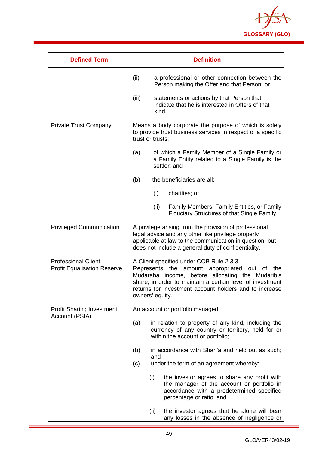

| <b>Defined Term</b>                | <b>Definition</b>                                                                                                                                                                                                                                          |
|------------------------------------|------------------------------------------------------------------------------------------------------------------------------------------------------------------------------------------------------------------------------------------------------------|
|                                    | (ii)<br>a professional or other connection between the<br>Person making the Offer and that Person; or                                                                                                                                                      |
|                                    | (iii)<br>statements or actions by that Person that<br>indicate that he is interested in Offers of that<br>kind.                                                                                                                                            |
| <b>Private Trust Company</b>       | Means a body corporate the purpose of which is solely<br>to provide trust business services in respect of a specific<br>trust or trusts:                                                                                                                   |
|                                    | of which a Family Member of a Single Family or<br>(a)<br>a Family Entity related to a Single Family is the<br>settlor; and                                                                                                                                 |
|                                    | the beneficiaries are all:<br>(b)                                                                                                                                                                                                                          |
|                                    | (i)<br>charities; or                                                                                                                                                                                                                                       |
|                                    | (ii)<br>Family Members, Family Entities, or Family<br>Fiduciary Structures of that Single Family.                                                                                                                                                          |
| <b>Privileged Communication</b>    | A privilege arising from the provision of professional<br>legal advice and any other like privilege properly<br>applicable at law to the communication in question, but<br>does not include a general duty of confidentiality.                             |
| <b>Professional Client</b>         | A Client specified under COB Rule 2.3.3.                                                                                                                                                                                                                   |
| <b>Profit Equalisation Reserve</b> | Represents<br>the<br>amount appropriated<br>out<br>οf<br>the<br>Mudaraba income, before allocating the Mudarib's<br>share, in order to maintain a certain level of investment<br>returns for investment account holders and to increase<br>owners' equity. |
| <b>Profit Sharing Investment</b>   | An account or portfolio managed:                                                                                                                                                                                                                           |
| Account (PSIA)                     | (a)<br>in relation to property of any kind, including the<br>currency of any country or territory, held for or<br>within the account or portfolio;                                                                                                         |
|                                    | in accordance with Shari'a and held out as such;<br>(b)<br>and                                                                                                                                                                                             |
|                                    | under the term of an agreement whereby:<br>(c)                                                                                                                                                                                                             |
|                                    | (i)<br>the investor agrees to share any profit with<br>the manager of the account or portfolio in<br>accordance with a predetermined specified<br>percentage or ratio; and                                                                                 |
|                                    | the investor agrees that he alone will bear<br>(ii)<br>any losses in the absence of negligence or                                                                                                                                                          |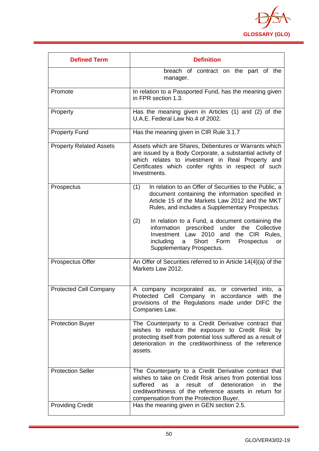

| <b>Defined Term</b>            | <b>Definition</b>                                                                                                                                                                                                                                                                           |
|--------------------------------|---------------------------------------------------------------------------------------------------------------------------------------------------------------------------------------------------------------------------------------------------------------------------------------------|
|                                | breach of contract on the part of the<br>manager.                                                                                                                                                                                                                                           |
| Promote                        | In relation to a Passported Fund, has the meaning given<br>in FPR section 1.3.                                                                                                                                                                                                              |
| Property                       | Has the meaning given in Articles (1) and (2) of the<br>U.A.E. Federal Law No.4 of 2002.                                                                                                                                                                                                    |
| <b>Property Fund</b>           | Has the meaning given in CIR Rule 3.1.7                                                                                                                                                                                                                                                     |
| <b>Property Related Assets</b> | Assets which are Shares, Debentures or Warrants which<br>are issued by a Body Corporate, a substantial activity of<br>which relates to investment in Real Property and<br>Certificates which confer rights in respect of such<br>Investments.                                               |
| Prospectus                     | In relation to an Offer of Securities to the Public, a<br>(1)<br>document containing the information specified in<br>Article 15 of the Markets Law 2012 and the MKT<br>Rules, and includes a Supplementary Prospectus.                                                                      |
|                                | (2)<br>In relation to a Fund, a document containing the<br>prescribed<br>the<br>information<br>under<br>Collective<br>Investment Law 2010<br>and the CIR<br>Rules.<br>a Short Form<br>including<br>Prospectus<br>or<br>Supplementary Prospectus.                                            |
| Prospectus Offer               | An Offer of Securities referred to in Article $14(4)(a)$ of the<br>Markets Law 2012.                                                                                                                                                                                                        |
| <b>Protected Cell Company</b>  | A company incorporated as, or converted into, a<br>Protected Cell Company in accordance with the<br>provisions of the Regulations made under DIFC the<br>Companies Law.                                                                                                                     |
| <b>Protection Buyer</b>        | The Counterparty to a Credit Derivative contract that<br>wishes to reduce the exposure to Credit Risk by<br>protecting itself from potential loss suffered as a result of<br>deterioration in the creditworthiness of the reference<br>assets.                                              |
| <b>Protection Seller</b>       | The Counterparty to a Credit Derivative contract that<br>wishes to take on Credit Risk arises from potential loss<br>of<br>deterioration<br>the<br>suffered<br>result<br>in<br>as<br>a<br>creditworthiness of the reference assets in return for<br>compensation from the Protection Buyer. |
| <b>Providing Credit</b>        | Has the meaning given in GEN section 2.5.                                                                                                                                                                                                                                                   |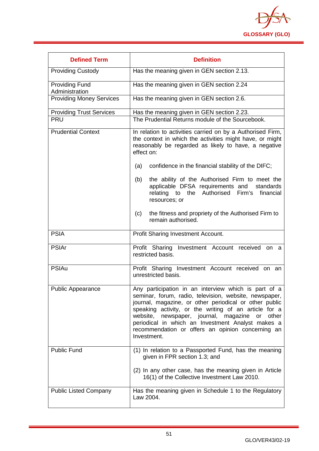

| <b>Defined Term</b>                     | <b>Definition</b>                                                                                                                                                                                                                                                                                                                                                                                                     |
|-----------------------------------------|-----------------------------------------------------------------------------------------------------------------------------------------------------------------------------------------------------------------------------------------------------------------------------------------------------------------------------------------------------------------------------------------------------------------------|
| <b>Providing Custody</b>                | Has the meaning given in GEN section 2.13.                                                                                                                                                                                                                                                                                                                                                                            |
| <b>Providing Fund</b><br>Administration | Has the meaning given in GEN section 2.24                                                                                                                                                                                                                                                                                                                                                                             |
| <b>Providing Money Services</b>         | Has the meaning given in GEN section 2.6.                                                                                                                                                                                                                                                                                                                                                                             |
| <b>Providing Trust Services</b>         | Has the meaning given in GEN section 2.23.                                                                                                                                                                                                                                                                                                                                                                            |
| <b>PRU</b>                              | The Prudential Returns module of the Sourcebook.                                                                                                                                                                                                                                                                                                                                                                      |
| <b>Prudential Context</b>               | In relation to activities carried on by a Authorised Firm,<br>the context in which the activities might have, or might<br>reasonably be regarded as likely to have, a negative<br>effect on:                                                                                                                                                                                                                          |
|                                         | confidence in the financial stability of the DIFC;<br>(a)                                                                                                                                                                                                                                                                                                                                                             |
|                                         | the ability of the Authorised Firm to meet the<br>(b)<br>applicable DFSA requirements and standards<br>Firm's<br>relating to the Authorised<br>financial<br>resources; or                                                                                                                                                                                                                                             |
|                                         | (c)<br>the fitness and propriety of the Authorised Firm to<br>remain authorised.                                                                                                                                                                                                                                                                                                                                      |
| <b>PSIA</b>                             | Profit Sharing Investment Account.                                                                                                                                                                                                                                                                                                                                                                                    |
| <b>PSIAr</b>                            | Profit Sharing Investment Account received on a<br>restricted basis.                                                                                                                                                                                                                                                                                                                                                  |
| <b>PSIAu</b>                            | Profit Sharing Investment Account received on an<br>unrestricted basis.                                                                                                                                                                                                                                                                                                                                               |
| <b>Public Appearance</b>                | Any participation in an interview which is part of a<br>seminar, forum, radio, television, website, newspaper,<br>journal, magazine, or other periodical or other public<br>speaking activity, or the writing of an article for a<br>website,<br>newspaper, journal, magazine<br>other<br>or<br>periodical in which an Investment Analyst makes a<br>recommendation or offers an opinion concerning an<br>Investment. |
| <b>Public Fund</b>                      | (1) In relation to a Passported Fund, has the meaning<br>given in FPR section 1.3; and                                                                                                                                                                                                                                                                                                                                |
|                                         | (2) In any other case, has the meaning given in Article<br>16(1) of the Collective Investment Law 2010.                                                                                                                                                                                                                                                                                                               |
| <b>Public Listed Company</b>            | Has the meaning given in Schedule 1 to the Regulatory<br>Law 2004.                                                                                                                                                                                                                                                                                                                                                    |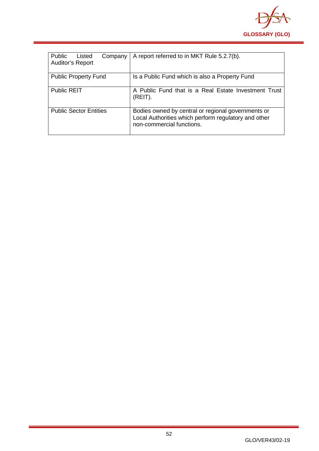

| Public<br>Listed<br>Company<br><b>Auditor's Report</b> | A report referred to in MKT Rule 5.2.7(b).                                                                                              |
|--------------------------------------------------------|-----------------------------------------------------------------------------------------------------------------------------------------|
| <b>Public Property Fund</b>                            | Is a Public Fund which is also a Property Fund                                                                                          |
| <b>Public REIT</b>                                     | A Public Fund that is a Real Estate Investment Trust<br>(REIT).                                                                         |
| <b>Public Sector Entities</b>                          | Bodies owned by central or regional governments or<br>Local Authorities which perform regulatory and other<br>non-commercial functions. |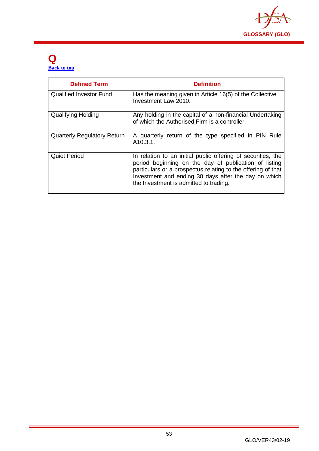

# <span id="page-53-0"></span>**Q [Back to top](#page-1-0)**

| <b>Defined Term</b>                | <b>Definition</b>                                                                                                                                                                                                                                                                       |
|------------------------------------|-----------------------------------------------------------------------------------------------------------------------------------------------------------------------------------------------------------------------------------------------------------------------------------------|
| <b>Qualified Investor Fund</b>     | Has the meaning given in Article 16(5) of the Collective<br>Investment Law 2010.                                                                                                                                                                                                        |
| <b>Qualifying Holding</b>          | Any holding in the capital of a non-financial Undertaking<br>of which the Authorised Firm is a controller.                                                                                                                                                                              |
| <b>Quarterly Regulatory Return</b> | A quarterly return of the type specified in PIN Rule<br>A <sub>10.3.1</sub> .                                                                                                                                                                                                           |
| <b>Quiet Period</b>                | In relation to an initial public offering of securities, the<br>period beginning on the day of publication of listing<br>particulars or a prospectus relating to the offering of that<br>Investment and ending 30 days after the day on which<br>the Investment is admitted to trading. |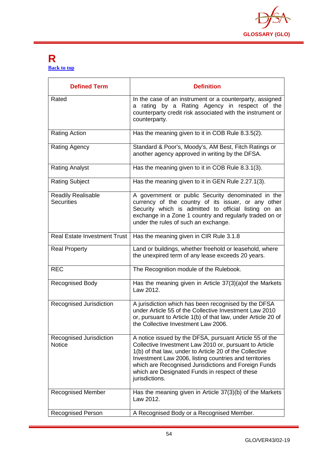

## <span id="page-54-0"></span>**R [Back to top](#page-1-0)**

| <b>Defined Term</b>                            | <b>Definition</b>                                                                                                                                                                                                                                                                                                                                                  |
|------------------------------------------------|--------------------------------------------------------------------------------------------------------------------------------------------------------------------------------------------------------------------------------------------------------------------------------------------------------------------------------------------------------------------|
| Rated                                          | In the case of an instrument or a counterparty, assigned<br>a rating by a Rating Agency in respect of the<br>counterparty credit risk associated with the instrument or<br>counterparty.                                                                                                                                                                           |
| <b>Rating Action</b>                           | Has the meaning given to it in COB Rule 8.3.5(2).                                                                                                                                                                                                                                                                                                                  |
| <b>Rating Agency</b>                           | Standard & Poor's, Moody's, AM Best, Fitch Ratings or<br>another agency approved in writing by the DFSA.                                                                                                                                                                                                                                                           |
| <b>Rating Analyst</b>                          | Has the meaning given to it in COB Rule 8.3.1(3).                                                                                                                                                                                                                                                                                                                  |
| <b>Rating Subject</b>                          | Has the meaning given to it in GEN Rule 2.27.1(3).                                                                                                                                                                                                                                                                                                                 |
| <b>Readily Realisable</b><br><b>Securities</b> | A government or public Security denominated in the<br>currency of the country of its issuer, or any other<br>Security which is admitted to official listing on an<br>exchange in a Zone 1 country and regularly traded on or<br>under the rules of such an exchange.                                                                                               |
| <b>Real Estate Investment Trust</b>            | Has the meaning given in CIR Rule 3.1.8                                                                                                                                                                                                                                                                                                                            |
| <b>Real Property</b>                           | Land or buildings, whether freehold or leasehold, where<br>the unexpired term of any lease exceeds 20 years.                                                                                                                                                                                                                                                       |
| <b>REC</b>                                     | The Recognition module of the Rulebook.                                                                                                                                                                                                                                                                                                                            |
| <b>Recognised Body</b>                         | Has the meaning given in Article 37(3)(a) of the Markets<br>Law 2012.                                                                                                                                                                                                                                                                                              |
| Recognised Jurisdiction                        | A jurisdiction which has been recognised by the DFSA<br>under Article 55 of the Collective Investment Law 2010<br>or, pursuant to Article 1(b) of that law, under Article 20 of<br>the Collective Investment Law 2006.                                                                                                                                             |
| Recognised Jurisdiction<br><b>Notice</b>       | A notice issued by the DFSA, pursuant Article 55 of the<br>Collective Investment Law 2010 or, pursuant to Article<br>1(b) of that law, under to Article 20 of the Collective<br>Investment Law 2006, listing countries and territories<br>which are Recognised Jurisdictions and Foreign Funds<br>which are Designated Funds in respect of these<br>jurisdictions. |
| <b>Recognised Member</b>                       | Has the meaning given in Article 37(3)(b) of the Markets<br>Law 2012.                                                                                                                                                                                                                                                                                              |
| <b>Recognised Person</b>                       | A Recognised Body or a Recognised Member.                                                                                                                                                                                                                                                                                                                          |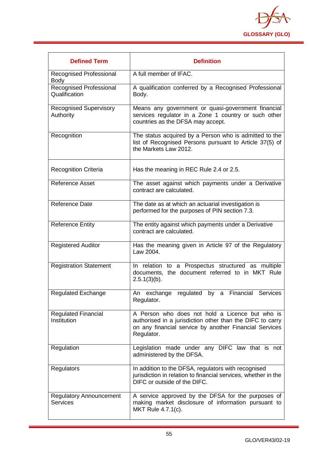

| <b>Defined Term</b>                               | <b>Definition</b>                                                                                                                                                                    |
|---------------------------------------------------|--------------------------------------------------------------------------------------------------------------------------------------------------------------------------------------|
| Recognised Professional<br><b>Body</b>            | A full member of IFAC.                                                                                                                                                               |
| Recognised Professional<br>Qualification          | A qualification conferred by a Recognised Professional<br>Body.                                                                                                                      |
| <b>Recognised Supervisory</b><br>Authority        | Means any government or quasi-government financial<br>services regulator in a Zone 1 country or such other<br>countries as the DFSA may accept.                                      |
| Recognition                                       | The status acquired by a Person who is admitted to the<br>list of Recognised Persons pursuant to Article 37(5) of<br>the Markets Law 2012.                                           |
| <b>Recognition Criteria</b>                       | Has the meaning in REC Rule 2.4 or 2.5.                                                                                                                                              |
| <b>Reference Asset</b>                            | The asset against which payments under a Derivative<br>contract are calculated.                                                                                                      |
| <b>Reference Date</b>                             | The date as at which an actuarial investigation is<br>performed for the purposes of PIN section 7.3.                                                                                 |
| <b>Reference Entity</b>                           | The entity against which payments under a Derivative<br>contract are calculated.                                                                                                     |
| <b>Registered Auditor</b>                         | Has the meaning given in Article 97 of the Regulatory<br>Law 2004.                                                                                                                   |
| <b>Registration Statement</b>                     | In relation to a Prospectus structured as multiple<br>documents, the document referred to in MKT Rule<br>$2.5.1(3)(b)$ .                                                             |
| <b>Regulated Exchange</b>                         | An exchange regulated by a Financial Services<br>Regulator.                                                                                                                          |
| <b>Regulated Financial</b><br>Institution         | A Person who does not hold a Licence but who is<br>authorised in a jurisdiction other than the DIFC to carry<br>on any financial service by another Financial Services<br>Regulator. |
| Regulation                                        | Legislation made under any DIFC law that is not<br>administered by the DFSA.                                                                                                         |
| <b>Regulators</b>                                 | In addition to the DFSA, regulators with recognised<br>jurisdiction in relation to financial services, whether in the<br>DIFC or outside of the DIFC.                                |
| <b>Regulatory Announcement</b><br><b>Services</b> | A service approved by the DFSA for the purposes of<br>making market disclosure of information pursuant to<br>MKT Rule 4.7.1(c).                                                      |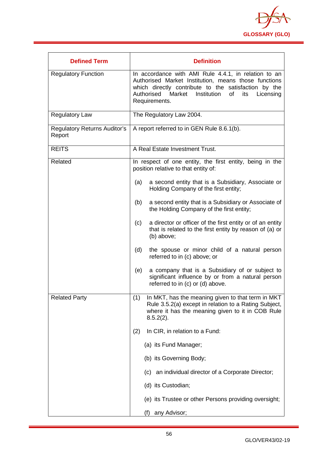

| <b>Defined Term</b>                           | <b>Definition</b>                                                                                                                                                                                                                                   |
|-----------------------------------------------|-----------------------------------------------------------------------------------------------------------------------------------------------------------------------------------------------------------------------------------------------------|
| <b>Regulatory Function</b>                    | In accordance with AMI Rule 4.4.1, in relation to an<br>Authorised Market Institution, means those functions<br>which directly contribute to the satisfaction by the<br>Authorised Market<br>Institution<br>of<br>its<br>Licensing<br>Requirements. |
| <b>Regulatory Law</b>                         | The Regulatory Law 2004.                                                                                                                                                                                                                            |
| <b>Regulatory Returns Auditor's</b><br>Report | A report referred to in GEN Rule 8.6.1(b).                                                                                                                                                                                                          |
| <b>REITS</b>                                  | A Real Estate Investment Trust.                                                                                                                                                                                                                     |
| Related                                       | In respect of one entity, the first entity, being in the<br>position relative to that entity of:                                                                                                                                                    |
|                                               | a second entity that is a Subsidiary, Associate or<br>(a)<br>Holding Company of the first entity;                                                                                                                                                   |
|                                               | a second entity that is a Subsidiary or Associate of<br>(b)<br>the Holding Company of the first entity;                                                                                                                                             |
|                                               | a director or officer of the first entity or of an entity<br>(c)<br>that is related to the first entity by reason of (a) or<br>(b) above;                                                                                                           |
|                                               | (d)<br>the spouse or minor child of a natural person<br>referred to in (c) above; or                                                                                                                                                                |
|                                               | a company that is a Subsidiary of or subject to<br>(e)<br>significant influence by or from a natural person<br>referred to in (c) or (d) above.                                                                                                     |
| <b>Related Party</b>                          | (1)<br>In MKT, has the meaning given to that term in MKT<br>Rule 3.5.2(a) except in relation to a Rating Subject,<br>where it has the meaning given to it in COB Rule<br>$8.5.2(2)$ .                                                               |
|                                               | In CIR, in relation to a Fund:<br>(2)                                                                                                                                                                                                               |
|                                               | (a) its Fund Manager;                                                                                                                                                                                                                               |
|                                               | (b) its Governing Body;                                                                                                                                                                                                                             |
|                                               | (c) an individual director of a Corporate Director;                                                                                                                                                                                                 |
|                                               | (d) its Custodian;                                                                                                                                                                                                                                  |
|                                               | (e) its Trustee or other Persons providing oversight;                                                                                                                                                                                               |
|                                               | any Advisor;<br>(f)                                                                                                                                                                                                                                 |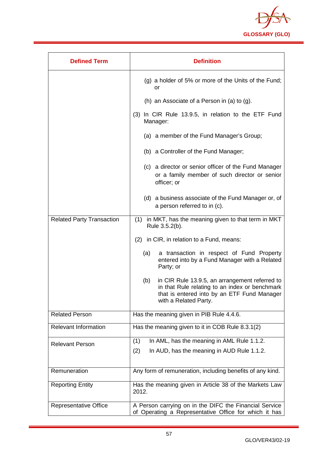

| <b>Defined Term</b>              | <b>Definition</b>                                                                                                                                                               |
|----------------------------------|---------------------------------------------------------------------------------------------------------------------------------------------------------------------------------|
|                                  | (g) a holder of 5% or more of the Units of the Fund;<br>or                                                                                                                      |
|                                  | (h) an Associate of a Person in (a) to (g).                                                                                                                                     |
|                                  | (3) In CIR Rule 13.9.5, in relation to the ETF Fund<br>Manager:                                                                                                                 |
|                                  | (a) a member of the Fund Manager's Group;                                                                                                                                       |
|                                  | (b) a Controller of the Fund Manager;                                                                                                                                           |
|                                  | (c) a director or senior officer of the Fund Manager<br>or a family member of such director or senior<br>officer; or                                                            |
|                                  | (d) a business associate of the Fund Manager or, of<br>a person referred to in (c).                                                                                             |
| <b>Related Party Transaction</b> | (1) in MKT, has the meaning given to that term in MKT<br>Rule 3.5.2(b).                                                                                                         |
|                                  | (2) in CIR, in relation to a Fund, means:                                                                                                                                       |
|                                  | (a)<br>a transaction in respect of Fund Property<br>entered into by a Fund Manager with a Related<br>Party; or                                                                  |
|                                  | in CIR Rule 13.9.5, an arrangement referred to<br>(b)<br>in that Rule relating to an index or benchmark<br>that is entered into by an ETF Fund Manager<br>with a Related Party. |
| <b>Related Person</b>            | Has the meaning given in PIB Rule 4.4.6.                                                                                                                                        |
| <b>Relevant Information</b>      | Has the meaning given to it in COB Rule 8.3.1(2)                                                                                                                                |
| <b>Relevant Person</b>           | In AML, has the meaning in AML Rule 1.1.2.<br>(1)                                                                                                                               |
|                                  | (2)<br>In AUD, has the meaning in AUD Rule 1.1.2.                                                                                                                               |
| Remuneration                     | Any form of remuneration, including benefits of any kind.                                                                                                                       |
| <b>Reporting Entity</b>          | Has the meaning given in Article 38 of the Markets Law<br>2012.                                                                                                                 |
| <b>Representative Office</b>     | A Person carrying on in the DIFC the Financial Service<br>of Operating a Representative Office for which it has                                                                 |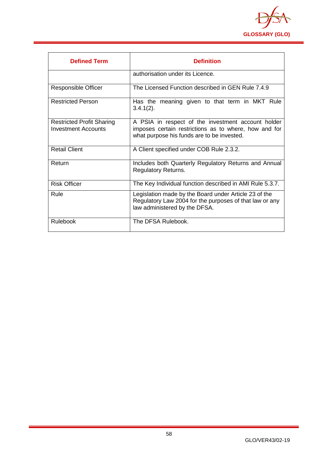

| <b>Defined Term</b>                                     | <b>Definition</b>                                                                                                                                         |
|---------------------------------------------------------|-----------------------------------------------------------------------------------------------------------------------------------------------------------|
|                                                         | authorisation under its Licence.                                                                                                                          |
| Responsible Officer                                     | The Licensed Function described in GEN Rule 7.4.9                                                                                                         |
| <b>Restricted Person</b>                                | Has the meaning given to that term in MKT Rule<br>$3.4.1(2)$ .                                                                                            |
| <b>Restricted Profit Sharing</b><br>Investment Accounts | A PSIA in respect of the investment account holder<br>imposes certain restrictions as to where, how and for<br>what purpose his funds are to be invested. |
| <b>Retail Client</b>                                    | A Client specified under COB Rule 2.3.2.                                                                                                                  |
| Return                                                  | Includes both Quarterly Regulatory Returns and Annual<br><b>Regulatory Returns.</b>                                                                       |
| <b>Risk Officer</b>                                     | The Key Individual function described in AMI Rule 5.3.7.                                                                                                  |
| Rule                                                    | Legislation made by the Board under Article 23 of the<br>Regulatory Law 2004 for the purposes of that law or any<br>law administered by the DFSA.         |
| <b>Rulebook</b>                                         | The DFSA Rulebook.                                                                                                                                        |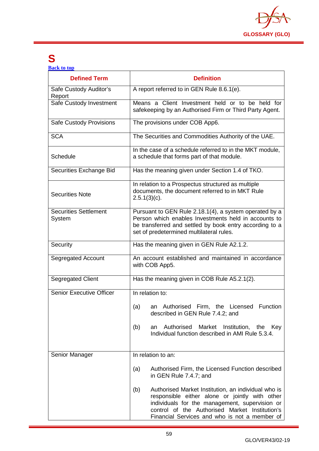

# <span id="page-59-0"></span>**S**

**[Back to top](#page-1-0)**

| <b>Defined Term</b>                    | <b>Definition</b>                                                                                                                                                                                                                                                 |
|----------------------------------------|-------------------------------------------------------------------------------------------------------------------------------------------------------------------------------------------------------------------------------------------------------------------|
| Safe Custody Auditor's<br>Report       | A report referred to in GEN Rule 8.6.1(e).                                                                                                                                                                                                                        |
| Safe Custody Investment                | Means a Client Investment held or to be held for<br>safekeeping by an Authorised Firm or Third Party Agent.                                                                                                                                                       |
| <b>Safe Custody Provisions</b>         | The provisions under COB App6.                                                                                                                                                                                                                                    |
| <b>SCA</b>                             | The Securities and Commodities Authority of the UAE.                                                                                                                                                                                                              |
| Schedule                               | In the case of a schedule referred to in the MKT module,<br>a schedule that forms part of that module.                                                                                                                                                            |
| Securities Exchange Bid                | Has the meaning given under Section 1.4 of TKO.                                                                                                                                                                                                                   |
| <b>Securities Note</b>                 | In relation to a Prospectus structured as multiple<br>documents, the document referred to in MKT Rule<br>$2.5.1(3)(c)$ .                                                                                                                                          |
| <b>Securities Settlement</b><br>System | Pursuant to GEN Rule 2.18.1(4), a system operated by a<br>Person which enables Investments held in accounts to<br>be transferred and settled by book entry according to a<br>set of predetermined multilateral rules.                                             |
| Security                               | Has the meaning given in GEN Rule A2.1.2.                                                                                                                                                                                                                         |
| <b>Segregated Account</b>              | An account established and maintained in accordance<br>with COB App5.                                                                                                                                                                                             |
| Segregated Client                      | Has the meaning given in COB Rule A5.2.1(2).                                                                                                                                                                                                                      |
| <b>Senior Executive Officer</b>        | In relation to:                                                                                                                                                                                                                                                   |
|                                        | an Authorised Firm, the Licensed Function<br>(a)<br>described in GEN Rule 7.4.2; and                                                                                                                                                                              |
|                                        | Authorised<br>Market<br>Institution,<br>(b)<br>an<br>the<br>Key<br>Individual function described in AMI Rule 5.3.4.                                                                                                                                               |
| Senior Manager                         | In relation to an:                                                                                                                                                                                                                                                |
|                                        | (a)<br>Authorised Firm, the Licensed Function described<br>in GEN Rule 7.4.7; and                                                                                                                                                                                 |
|                                        | (b)<br>Authorised Market Institution, an individual who is<br>responsible either alone or jointly with other<br>individuals for the management, supervision or<br>control of the Authorised Market Institution's<br>Financial Services and who is not a member of |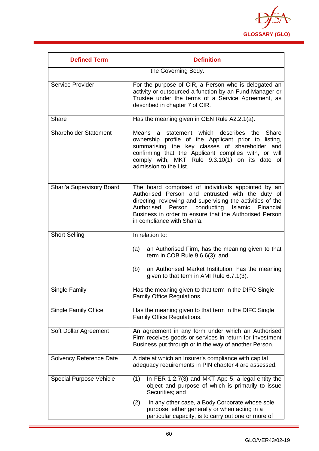

| <b>Defined Term</b>            | <b>Definition</b>                                                                                                                                                                                                                                                                                                           |
|--------------------------------|-----------------------------------------------------------------------------------------------------------------------------------------------------------------------------------------------------------------------------------------------------------------------------------------------------------------------------|
|                                | the Governing Body.                                                                                                                                                                                                                                                                                                         |
| Service Provider               | For the purpose of CIR, a Person who is delegated an<br>activity or outsourced a function by an Fund Manager or<br>Trustee under the terms of a Service Agreement, as<br>described in chapter 7 of CIR.                                                                                                                     |
| Share                          | Has the meaning given in GEN Rule A2.2.1(a).                                                                                                                                                                                                                                                                                |
| <b>Shareholder Statement</b>   | Means a statement which<br>describes the<br>Share<br>ownership profile of the Applicant prior to listing,<br>summarising the key classes of shareholder and<br>confirming that the Applicant complies with, or will<br>comply with, MKT Rule 9.3.10(1) on its date of<br>admission to the List.                             |
| Shari'a Supervisory Board      | The board comprised of individuals appointed by an<br>Authorised Person and entrusted with the duty of<br>directing, reviewing and supervising the activities of the<br>Authorised<br>Person<br>conducting<br>Islamic<br>Financial<br>Business in order to ensure that the Authorised Person<br>in compliance with Shari'a. |
| <b>Short Selling</b>           | In relation to:                                                                                                                                                                                                                                                                                                             |
|                                | an Authorised Firm, has the meaning given to that<br>(a)<br>term in COB Rule 9.6.6(3); and                                                                                                                                                                                                                                  |
|                                | an Authorised Market Institution, has the meaning<br>(b)<br>given to that term in AMI Rule 6.7.1(3).                                                                                                                                                                                                                        |
| Single Family                  | Has the meaning given to that term in the DIFC Single<br>Family Office Regulations.                                                                                                                                                                                                                                         |
| <b>Single Family Office</b>    | Has the meaning given to that term in the DIFC Single<br>Family Office Regulations.                                                                                                                                                                                                                                         |
| Soft Dollar Agreement          | An agreement in any form under which an Authorised<br>Firm receives goods or services in return for Investment<br>Business put through or in the way of another Person.                                                                                                                                                     |
| Solvency Reference Date        | A date at which an Insurer's compliance with capital<br>adequacy requirements in PIN chapter 4 are assessed.                                                                                                                                                                                                                |
| <b>Special Purpose Vehicle</b> | In FER 1.2.7(3) and MKT App 5, a legal entity the<br>(1)<br>object and purpose of which is primarily to issue<br>Securities; and                                                                                                                                                                                            |
|                                | (2)<br>In any other case, a Body Corporate whose sole<br>purpose, either generally or when acting in a<br>particular capacity, is to carry out one or more of                                                                                                                                                               |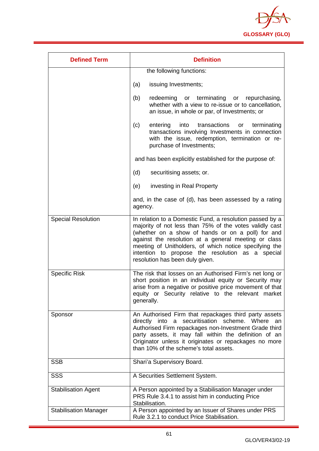

| <b>Defined Term</b>          | <b>Definition</b>                                                                                                                                                                                                                                                                                                                                                                 |
|------------------------------|-----------------------------------------------------------------------------------------------------------------------------------------------------------------------------------------------------------------------------------------------------------------------------------------------------------------------------------------------------------------------------------|
|                              | the following functions:                                                                                                                                                                                                                                                                                                                                                          |
|                              | issuing Investments;<br>(a)                                                                                                                                                                                                                                                                                                                                                       |
|                              | (b)<br>redeeming or terminating or repurchasing,<br>whether with a view to re-issue or to cancellation,<br>an issue, in whole or par, of Investments; or                                                                                                                                                                                                                          |
|                              | (c)<br>into<br>transactions<br>terminating<br>entering<br>or<br>transactions involving Investments in connection<br>with the issue, redemption, termination or re-<br>purchase of Investments;                                                                                                                                                                                    |
|                              | and has been explicitly established for the purpose of:                                                                                                                                                                                                                                                                                                                           |
|                              | (d)<br>securitising assets; or.                                                                                                                                                                                                                                                                                                                                                   |
|                              | (e)<br>investing in Real Property                                                                                                                                                                                                                                                                                                                                                 |
|                              | and, in the case of (d), has been assessed by a rating<br>agency.                                                                                                                                                                                                                                                                                                                 |
| <b>Special Resolution</b>    | In relation to a Domestic Fund, a resolution passed by a<br>majority of not less than 75% of the votes validly cast<br>(whether on a show of hands or on a poll) for and<br>against the resolution at a general meeting or class<br>meeting of Unitholders, of which notice specifying the<br>intention to propose the resolution as a special<br>resolution has been duly given. |
| <b>Specific Risk</b>         | The risk that losses on an Authorised Firm's net long or<br>short position in an individual equity or Security may<br>arise from a negative or positive price movement of that<br>equity or Security relative to the relevant market<br>generally.                                                                                                                                |
| Sponsor                      | An Authorised Firm that repackages third party assets<br>directly into a securitisation scheme. Where<br>an<br>Authorised Firm repackages non-Investment Grade third<br>party assets, it may fall within the definition of an<br>Originator unless it originates or repackages no more<br>than 10% of the scheme's total assets.                                                  |
| <b>SSB</b>                   | Shari'a Supervisory Board.                                                                                                                                                                                                                                                                                                                                                        |
| <b>SSS</b>                   | A Securities Settlement System.                                                                                                                                                                                                                                                                                                                                                   |
| <b>Stabilisation Agent</b>   | A Person appointed by a Stabilisation Manager under<br>PRS Rule 3.4.1 to assist him in conducting Price<br>Stabilisation.                                                                                                                                                                                                                                                         |
| <b>Stabilisation Manager</b> | A Person appointed by an Issuer of Shares under PRS<br>Rule 3.2.1 to conduct Price Stabilisation.                                                                                                                                                                                                                                                                                 |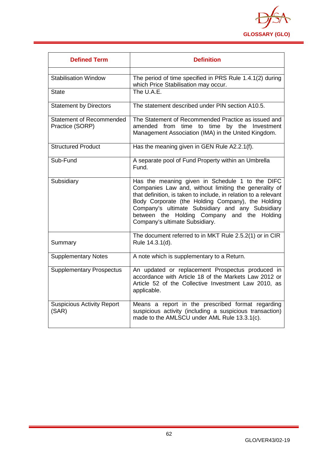

| <b>Defined Term</b>                                | <b>Definition</b>                                                                                                                                                                                                                                                                                                                                                     |
|----------------------------------------------------|-----------------------------------------------------------------------------------------------------------------------------------------------------------------------------------------------------------------------------------------------------------------------------------------------------------------------------------------------------------------------|
| <b>Stabilisation Window</b>                        | The period of time specified in PRS Rule 1.4.1(2) during<br>which Price Stabilisation may occur.<br>The U.A.E.                                                                                                                                                                                                                                                        |
| State                                              |                                                                                                                                                                                                                                                                                                                                                                       |
| <b>Statement by Directors</b>                      | The statement described under PIN section A10.5.                                                                                                                                                                                                                                                                                                                      |
| <b>Statement of Recommended</b><br>Practice (SORP) | The Statement of Recommended Practice as issued and<br>amended<br>from<br>time<br>time<br>by the Investment<br>to<br>Management Association (IMA) in the United Kingdom.                                                                                                                                                                                              |
| <b>Structured Product</b>                          | Has the meaning given in GEN Rule A2.2.1(f).                                                                                                                                                                                                                                                                                                                          |
| Sub-Fund                                           | A separate pool of Fund Property within an Umbrella<br>Fund.                                                                                                                                                                                                                                                                                                          |
| Subsidiary                                         | Has the meaning given in Schedule 1 to the DIFC<br>Companies Law and, without limiting the generality of<br>that definition, is taken to include, in relation to a relevant<br>Body Corporate (the Holding Company), the Holding<br>Company's ultimate Subsidiary and any Subsidiary<br>between the Holding Company and the Holding<br>Company's ultimate Subsidiary. |
| Summary                                            | The document referred to in MKT Rule 2.5.2(1) or in CIR<br>Rule 14.3.1(d).                                                                                                                                                                                                                                                                                            |
| <b>Supplementary Notes</b>                         | A note which is supplementary to a Return.                                                                                                                                                                                                                                                                                                                            |
| <b>Supplementary Prospectus</b>                    | An updated or replacement Prospectus produced in<br>accordance with Article 18 of the Markets Law 2012 or<br>Article 52 of the Collective Investment Law 2010, as<br>applicable.                                                                                                                                                                                      |
| <b>Suspicious Activity Report</b><br>(SAR)         | Means a report in the prescribed format regarding<br>suspicious activity (including a suspicious transaction)<br>made to the AMLSCU under AML Rule 13.3.1(c).                                                                                                                                                                                                         |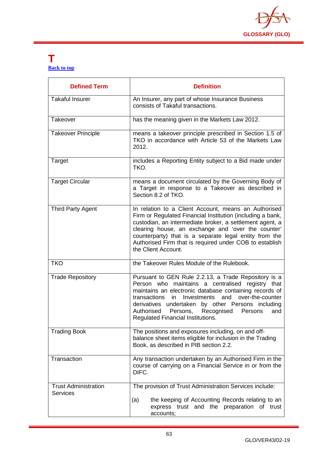

# <span id="page-63-0"></span>**T [Back to top](#page-1-0)**

| <b>Defined Term</b>                            | <b>Definition</b>                                                                                                                                                                                                                                                                                                                                                                             |
|------------------------------------------------|-----------------------------------------------------------------------------------------------------------------------------------------------------------------------------------------------------------------------------------------------------------------------------------------------------------------------------------------------------------------------------------------------|
| <b>Takaful Insurer</b>                         | An Insurer, any part of whose Insurance Business<br>consists of Takaful transactions.                                                                                                                                                                                                                                                                                                         |
| Takeover                                       | has the meaning given in the Markets Law 2012.                                                                                                                                                                                                                                                                                                                                                |
| <b>Takeover Principle</b>                      | means a takeover principle prescribed in Section 1.5 of<br>TKO in accordance with Article 53 of the Markets Law<br>2012.                                                                                                                                                                                                                                                                      |
| Target                                         | includes a Reporting Entity subject to a Bid made under<br>TKO.                                                                                                                                                                                                                                                                                                                               |
| <b>Target Circular</b>                         | means a document circulated by the Governing Body of<br>a Target in response to a Takeover as described in<br>Section 8.2 of TKO.                                                                                                                                                                                                                                                             |
| <b>Third Party Agent</b>                       | In relation to a Client Account, means an Authorised<br>Firm or Regulated Financial Institution (including a bank,<br>custodian, an intermediate broker, a settlement agent, a<br>clearing house, an exchange and 'over the counter'<br>counterparty) that is a separate legal entity from the<br>Authorised Firm that is required under COB to establish<br>the Client Account.              |
| <b>TKO</b>                                     | the Takeover Rules Module of the Rulebook.                                                                                                                                                                                                                                                                                                                                                    |
| <b>Trade Repository</b>                        | Pursuant to GEN Rule 2.2.13, a Trade Repository is a<br>Person who maintains a centralised registry that<br>maintains an electronic database containing records of<br>transactions<br>and<br>over-the-counter<br>in<br>Investments<br>derivatives undertaken by other Persons including<br>Authorised<br>Recognised<br>Persons,<br>Persons<br>and<br><b>Regulated Financial Institutions.</b> |
| <b>Trading Book</b>                            | The positions and exposures including, on and off-<br>balance sheet items eligible for inclusion in the Trading<br>Book, as described in PIB section 2.2.                                                                                                                                                                                                                                     |
| Transaction                                    | Any transaction undertaken by an Authorised Firm in the<br>course of carrying on a Financial Service in or from the<br>DIFC.                                                                                                                                                                                                                                                                  |
| <b>Trust Administration</b><br><b>Services</b> | The provision of Trust Administration Services include:                                                                                                                                                                                                                                                                                                                                       |
|                                                | the keeping of Accounting Records relating to an<br>(a)<br>express trust and the preparation of trust<br>accounts;                                                                                                                                                                                                                                                                            |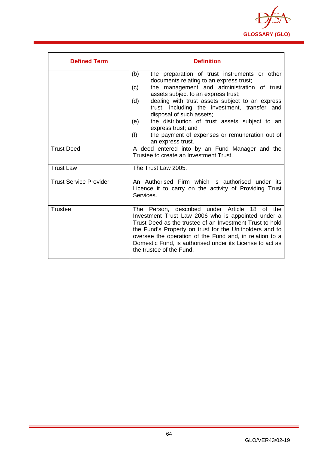

| <b>Defined Term</b>           | <b>Definition</b>                                                                                                                                                                                                                                                                                                                                                                |
|-------------------------------|----------------------------------------------------------------------------------------------------------------------------------------------------------------------------------------------------------------------------------------------------------------------------------------------------------------------------------------------------------------------------------|
|                               | the preparation of trust instruments or other<br>(b)<br>documents relating to an express trust;                                                                                                                                                                                                                                                                                  |
|                               | the management and administration of trust<br>(c)<br>assets subject to an express trust;                                                                                                                                                                                                                                                                                         |
|                               | dealing with trust assets subject to an express<br>(d)<br>trust, including the investment, transfer and<br>disposal of such assets;                                                                                                                                                                                                                                              |
|                               | the distribution of trust assets subject to an<br>(e)<br>express trust; and                                                                                                                                                                                                                                                                                                      |
|                               | (f)<br>the payment of expenses or remuneration out of<br>an express trust.                                                                                                                                                                                                                                                                                                       |
| <b>Trust Deed</b>             | A deed entered into by an Fund Manager and the<br>Trustee to create an Investment Trust.                                                                                                                                                                                                                                                                                         |
| <b>Trust Law</b>              | The Trust Law 2005.                                                                                                                                                                                                                                                                                                                                                              |
| <b>Trust Service Provider</b> | An Authorised Firm which is authorised under its<br>Licence it to carry on the activity of Providing Trust<br>Services.                                                                                                                                                                                                                                                          |
| <b>Trustee</b>                | The Person, described under Article 18<br>of the<br>Investment Trust Law 2006 who is appointed under a<br>Trust Deed as the trustee of an Investment Trust to hold<br>the Fund's Property on trust for the Unitholders and to<br>oversee the operation of the Fund and, in relation to a<br>Domestic Fund, is authorised under its License to act as<br>the trustee of the Fund. |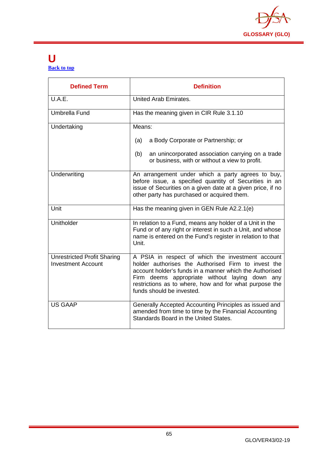

# <span id="page-65-0"></span>**U [Back to top](#page-1-0)**

| <b>Defined Term</b>                                             | <b>Definition</b>                                                                                                                                                                                                                                                                                            |
|-----------------------------------------------------------------|--------------------------------------------------------------------------------------------------------------------------------------------------------------------------------------------------------------------------------------------------------------------------------------------------------------|
| U.A.E.                                                          | United Arab Emirates.                                                                                                                                                                                                                                                                                        |
| Umbrella Fund                                                   | Has the meaning given in CIR Rule 3.1.10                                                                                                                                                                                                                                                                     |
| Undertaking                                                     | Means:                                                                                                                                                                                                                                                                                                       |
|                                                                 | a Body Corporate or Partnership; or<br>(a)                                                                                                                                                                                                                                                                   |
|                                                                 | an unincorporated association carrying on a trade<br>(b)<br>or business, with or without a view to profit.                                                                                                                                                                                                   |
| Underwriting                                                    | An arrangement under which a party agrees to buy,<br>before issue, a specified quantity of Securities in an<br>issue of Securities on a given date at a given price, if no<br>other party has purchased or acquired them.                                                                                    |
| Unit                                                            | Has the meaning given in GEN Rule A2.2.1(e)                                                                                                                                                                                                                                                                  |
| Unitholder                                                      | In relation to a Fund, means any holder of a Unit in the<br>Fund or of any right or interest in such a Unit, and whose<br>name is entered on the Fund's register in relation to that<br>Unit.                                                                                                                |
| <b>Unrestricted Profit Sharing</b><br><b>Investment Account</b> | A PSIA in respect of which the investment account<br>holder authorises the Authorised Firm to invest the<br>account holder's funds in a manner which the Authorised<br>Firm deems appropriate without laying down any<br>restrictions as to where, how and for what purpose the<br>funds should be invested. |
| <b>US GAAP</b>                                                  | Generally Accepted Accounting Principles as issued and<br>amended from time to time by the Financial Accounting<br>Standards Board in the United States.                                                                                                                                                     |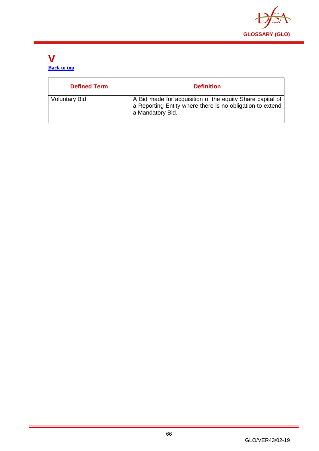

# <span id="page-66-0"></span>**V [Back to top](#page-1-0)**

| <b>Defined Term</b>  | <b>Definition</b>                                                                                                                          |
|----------------------|--------------------------------------------------------------------------------------------------------------------------------------------|
| <b>Voluntary Bid</b> | A Bid made for acquisition of the equity Share capital of<br>a Reporting Entity where there is no obligation to extend<br>a Mandatory Bid. |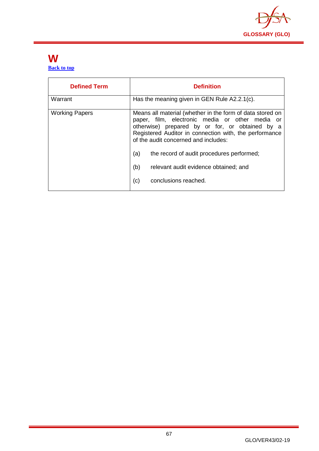

# <span id="page-67-0"></span>**W [Back to top](#page-1-0)**

| <b>Defined Term</b>   | <b>Definition</b>                                                                                                                                                                                                                                                                                                                                                                                    |
|-----------------------|------------------------------------------------------------------------------------------------------------------------------------------------------------------------------------------------------------------------------------------------------------------------------------------------------------------------------------------------------------------------------------------------------|
| Warrant               | Has the meaning given in GEN Rule A2.2.1(c).                                                                                                                                                                                                                                                                                                                                                         |
| <b>Working Papers</b> | Means all material (whether in the form of data stored on<br>paper, film, electronic media or other media or<br>otherwise) prepared by or for, or obtained by a<br>Registered Auditor in connection with, the performance<br>of the audit concerned and includes:<br>(a)<br>the record of audit procedures performed;<br>(b)<br>relevant audit evidence obtained; and<br>(c)<br>conclusions reached. |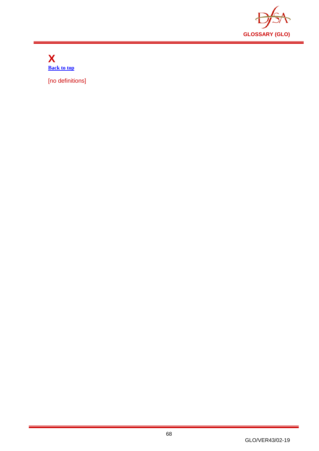

<span id="page-68-0"></span>**X [Back to top](#page-1-0)**

[no definitions]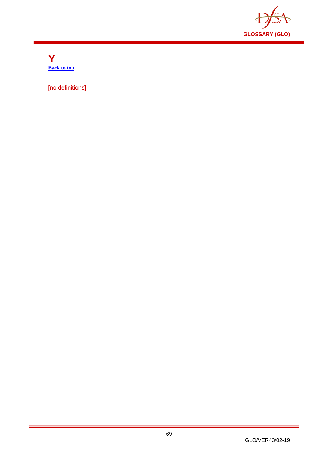

<span id="page-69-0"></span>**Y [Back to top](#page-1-0)**

[no definitions]